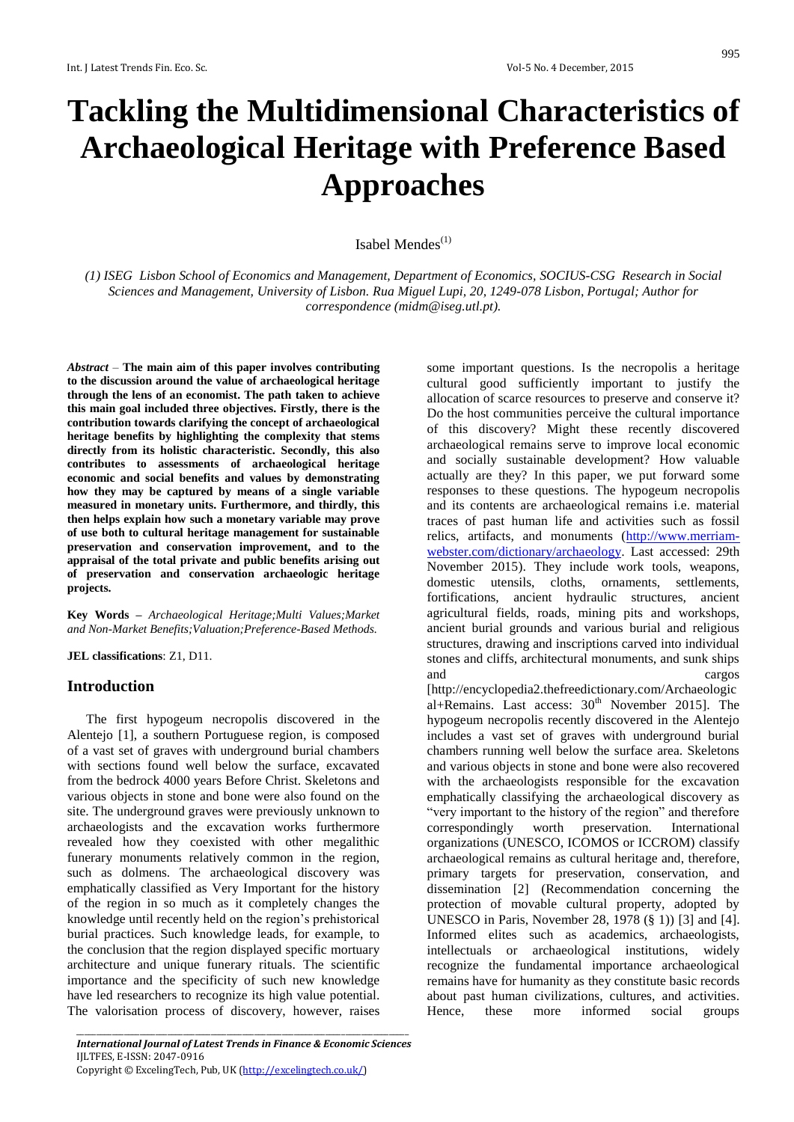# **Tackling the Multidimensional Characteristics of Archaeological Heritage with Preference Based Approaches**

# Isabel Mendes $^{(1)}$

*(1) ISEG Lisbon School of Economics and Management, Department of Economics, SOCIUS-CSG Research in Social Sciences and Management, University of Lisbon. Rua Miguel Lupi, 20, 1249-078 Lisbon, Portugal; Author for correspondence [\(midm@iseg.utl.pt\)](mailto:midm@iseg.utl.pt).*

*Abstract* – **The main aim of this paper involves contributing to the discussion around the value of archaeological heritage through the lens of an economist. The path taken to achieve this main goal included three objectives. Firstly, there is the contribution towards clarifying the concept of archaeological heritage benefits by highlighting the complexity that stems directly from its holistic characteristic. Secondly, this also contributes to assessments of archaeological heritage economic and social benefits and values by demonstrating how they may be captured by means of a single variable measured in monetary units. Furthermore, and thirdly, this then helps explain how such a monetary variable may prove of use both to cultural heritage management for sustainable preservation and conservation improvement, and to the appraisal of the total private and public benefits arising out of preservation and conservation archaeologic heritage projects.**

**Key Words –** *Archaeological Heritage;Multi Values;Market and Non-Market Benefits;Valuation;Preference-Based Methods.*

**JEL classifications**: Z1, D11.

# **Introduction**

The first hypogeum necropolis discovered in the Alentejo [1], a southern Portuguese region, is composed of a vast set of graves with underground burial chambers with sections found well below the surface, excavated from the bedrock 4000 years Before Christ. Skeletons and various objects in stone and bone were also found on the site. The underground graves were previously unknown to archaeologists and the excavation works furthermore revealed how they coexisted with other megalithic funerary monuments relatively common in the region, such as dolmens. The archaeological discovery was emphatically classified as Very Important for the history of the region in so much as it completely changes the knowledge until recently held on the region's prehistorical burial practices. Such knowledge leads, for example, to the conclusion that the region displayed specific mortuary architecture and unique funerary rituals. The scientific importance and the specificity of such new knowledge have led researchers to recognize its high value potential. The valorisation process of discovery, however, raises some important questions. Is the necropolis a heritage cultural good sufficiently important to justify the allocation of scarce resources to preserve and conserve it? Do the host communities perceive the cultural importance of this discovery? Might these recently discovered archaeological remains serve to improve local economic and socially sustainable development? How valuable actually are they? In this paper, we put forward some responses to these questions. The hypogeum necropolis and its contents are archaeological remains i.e. material traces of past human life and activities such as fossil relics, artifacts, and monuments [\(http://www.merriam](http://www.merriam-webster.com/dictionary/archaeology)[webster.com/dictionary/archaeology.](http://www.merriam-webster.com/dictionary/archaeology) Last accessed: 29th November 2015). They include work tools, weapons, domestic utensils, cloths, ornaments, settlements, fortifications, ancient hydraulic structures, ancient agricultural fields, roads, mining pits and workshops, ancient burial grounds and various burial and religious structures, drawing and inscriptions carved into individual stones and cliffs, architectural monuments, and sunk ships and cargos

[http://encyclopedia2.thefreedictionary.com/Archaeologic al+Remains. Last access:  $30<sup>th</sup>$  November 2015]. The hypogeum necropolis recently discovered in the Alentejo includes a vast set of graves with underground burial chambers running well below the surface area. Skeletons and various objects in stone and bone were also recovered with the archaeologists responsible for the excavation emphatically classifying the archaeological discovery as "very important to the history of the region" and therefore correspondingly worth preservation. International organizations (UNESCO, ICOMOS or ICCROM) classify archaeological remains as cultural heritage and, therefore, primary targets for preservation, conservation, and dissemination [2] (Recommendation concerning the protection of movable cultural property, adopted by UNESCO in Paris, November 28, 1978 (§ 1)) [3] and [4]. Informed elites such as academics, archaeologists, intellectuals or archaeological institutions, widely recognize the fundamental importance archaeological remains have for humanity as they constitute basic records about past human civilizations, cultures, and activities. Hence, these more informed social groups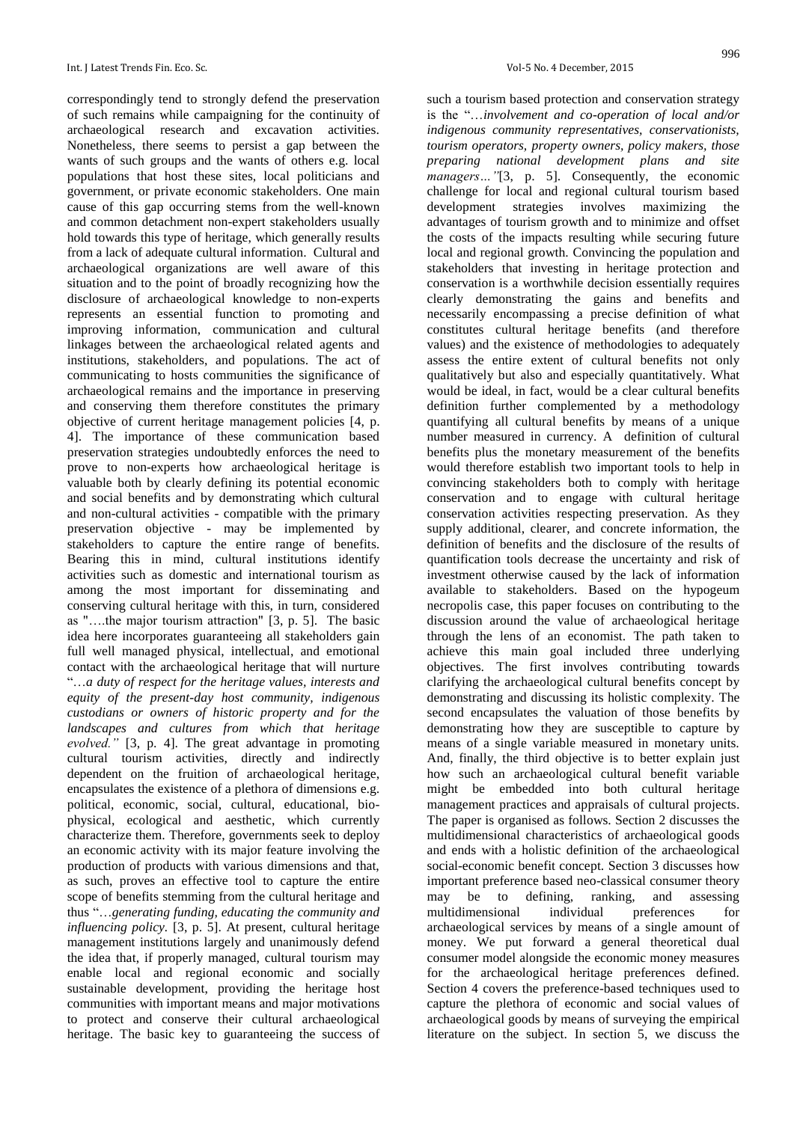correspondingly tend to strongly defend the preservation of such remains while campaigning for the continuity of archaeological research and excavation activities. Nonetheless, there seems to persist a gap between the wants of such groups and the wants of others e.g. local populations that host these sites, local politicians and government, or private economic stakeholders. One main cause of this gap occurring stems from the well-known and common detachment non-expert stakeholders usually hold towards this type of heritage, which generally results from a lack of adequate cultural information. Cultural and archaeological organizations are well aware of this situation and to the point of broadly recognizing how the disclosure of archaeological knowledge to non-experts represents an essential function to promoting and improving information, communication and cultural linkages between the archaeological related agents and institutions, stakeholders, and populations. The act of communicating to hosts communities the significance of archaeological remains and the importance in preserving and conserving them therefore constitutes the primary objective of current heritage management policies [4, p. 4]. The importance of these communication based preservation strategies undoubtedly enforces the need to prove to non-experts how archaeological heritage is valuable both by clearly defining its potential economic and social benefits and by demonstrating which cultural and non-cultural activities - compatible with the primary preservation objective - may be implemented by stakeholders to capture the entire range of benefits. Bearing this in mind, cultural institutions identify activities such as domestic and international tourism as among the most important for disseminating and conserving cultural heritage with this, in turn, considered as "….the major tourism attraction" [3, p. 5]. The basic idea here incorporates guaranteeing all stakeholders gain full well managed physical, intellectual, and emotional contact with the archaeological heritage that will nurture "…*a duty of respect for the heritage values, interests and equity of the present-day host community, indigenous custodians or owners of historic property and for the landscapes and cultures from which that heritage evolved."* [3, p. 4]. The great advantage in promoting cultural tourism activities, directly and indirectly dependent on the fruition of archaeological heritage, encapsulates the existence of a plethora of dimensions e.g. political, economic, social, cultural, educational, biophysical, ecological and aesthetic, which currently characterize them. Therefore, governments seek to deploy an economic activity with its major feature involving the production of products with various dimensions and that, as such, proves an effective tool to capture the entire scope of benefits stemming from the cultural heritage and thus "…*generating funding, educating the community and influencing policy.* [3, p. 5]. At present, cultural heritage management institutions largely and unanimously defend the idea that, if properly managed, cultural tourism may enable local and regional economic and socially sustainable development, providing the heritage host communities with important means and major motivations to protect and conserve their cultural archaeological heritage. The basic key to guaranteeing the success of

such a tourism based protection and conservation strategy is the "…*involvement and co-operation of local and/or indigenous community representatives, conservationists, tourism operators, property owners, policy makers, those preparing national development plans and site managers…"*[3, p. 5]. Consequently, the economic challenge for local and regional cultural tourism based development strategies involves maximizing the advantages of tourism growth and to minimize and offset the costs of the impacts resulting while securing future local and regional growth. Convincing the population and stakeholders that investing in heritage protection and conservation is a worthwhile decision essentially requires clearly demonstrating the gains and benefits and necessarily encompassing a precise definition of what constitutes cultural heritage benefits (and therefore values) and the existence of methodologies to adequately assess the entire extent of cultural benefits not only qualitatively but also and especially quantitatively. What would be ideal, in fact, would be a clear cultural benefits definition further complemented by a methodology quantifying all cultural benefits by means of a unique number measured in currency. A definition of cultural benefits plus the monetary measurement of the benefits would therefore establish two important tools to help in convincing stakeholders both to comply with heritage conservation and to engage with cultural heritage conservation activities respecting preservation. As they supply additional, clearer, and concrete information, the definition of benefits and the disclosure of the results of quantification tools decrease the uncertainty and risk of investment otherwise caused by the lack of information available to stakeholders. Based on the hypogeum necropolis case, this paper focuses on contributing to the discussion around the value of archaeological heritage through the lens of an economist. The path taken to achieve this main goal included three underlying objectives. The first involves contributing towards clarifying the archaeological cultural benefits concept by demonstrating and discussing its holistic complexity. The second encapsulates the valuation of those benefits by demonstrating how they are susceptible to capture by means of a single variable measured in monetary units. And, finally, the third objective is to better explain just how such an archaeological cultural benefit variable might be embedded into both cultural heritage management practices and appraisals of cultural projects. The paper is organised as follows. Section 2 discusses the multidimensional characteristics of archaeological goods and ends with a holistic definition of the archaeological social-economic benefit concept. Section 3 discusses how important preference based neo-classical consumer theory may be to defining, ranking, and assessing multidimensional individual preferences for archaeological services by means of a single amount of money. We put forward a general theoretical dual consumer model alongside the economic money measures for the archaeological heritage preferences defined. Section 4 covers the preference-based techniques used to capture the plethora of economic and social values of archaeological goods by means of surveying the empirical literature on the subject. In section 5, we discuss the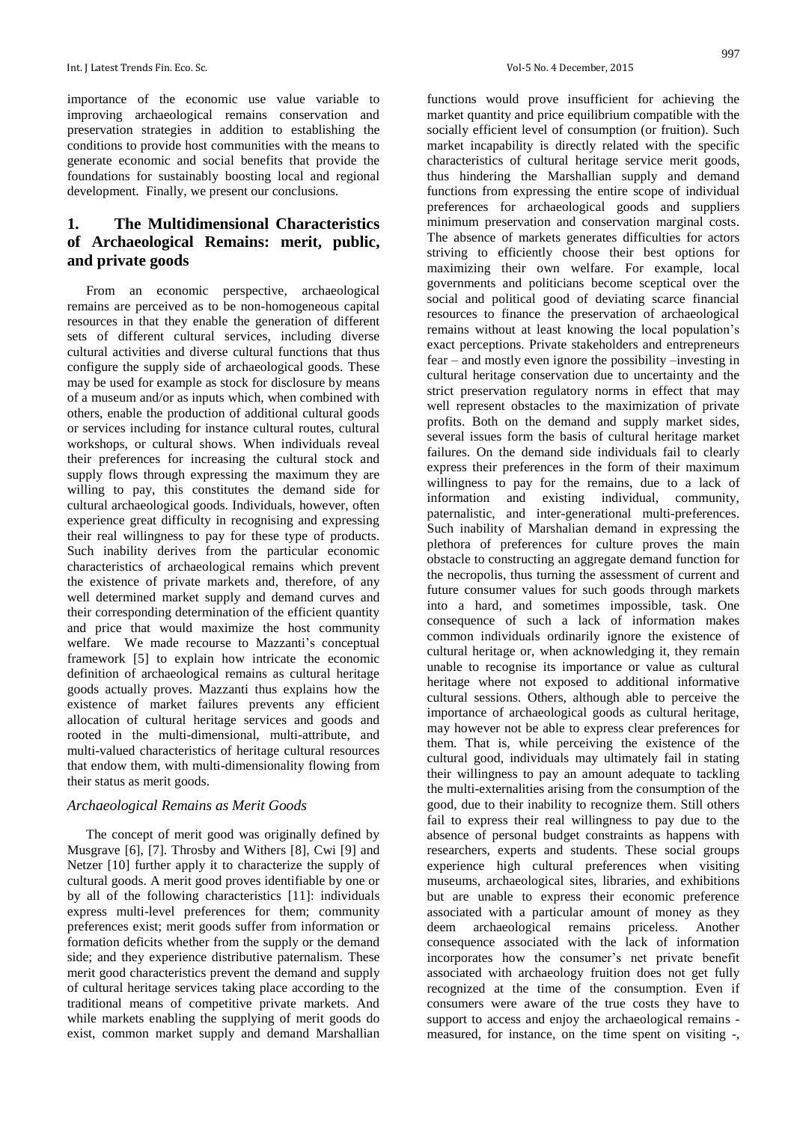importance of the economic use value variable to improving archaeological remains conservation and preservation strategies in addition to establishing the conditions to provide host communities with the means to generate economic and social benefits that provide the foundations for sustainably boosting local and regional development. Finally, we present our conclusions.

# **1. The Multidimensional Characteristics of Archaeological Remains: merit, public, and private goods**

From an economic perspective, archaeological remains are perceived as to be non-homogeneous capital resources in that they enable the generation of different sets of different cultural services, including diverse cultural activities and diverse cultural functions that thus configure the supply side of archaeological goods. These may be used for example as stock for disclosure by means of a museum and/or as inputs which, when combined with others, enable the production of additional cultural goods or services including for instance cultural routes, cultural workshops, or cultural shows. When individuals reveal their preferences for increasing the cultural stock and supply flows through expressing the maximum they are willing to pay, this constitutes the demand side for cultural archaeological goods. Individuals, however, often experience great difficulty in recognising and expressing their real willingness to pay for these type of products. Such inability derives from the particular economic characteristics of archaeological remains which prevent the existence of private markets and, therefore, of any well determined market supply and demand curves and their corresponding determination of the efficient quantity and price that would maximize the host community welfare. We made recourse to Mazzanti's conceptual framework [5] to explain how intricate the economic definition of archaeological remains as cultural heritage goods actually proves. Mazzanti thus explains how the existence of market failures prevents any efficient allocation of cultural heritage services and goods and rooted in the multi-dimensional, multi-attribute, and multi-valued characteristics of heritage cultural resources that endow them, with multi-dimensionality flowing from their status as merit goods.

#### *Archaeological Remains as Merit Goods*

The concept of merit good was originally defined by Musgrave [6], [7]. Throsby and Withers [8], Cwi [9] and Netzer [10] further apply it to characterize the supply of cultural goods. A merit good proves identifiable by one or by all of the following characteristics [11]: individuals express multi-level preferences for them; community preferences exist; merit goods suffer from information or formation deficits whether from the supply or the demand side; and they experience distributive paternalism. These merit good characteristics prevent the demand and supply of cultural heritage services taking place according to the traditional means of competitive private markets. And while markets enabling the supplying of merit goods do exist, common market supply and demand Marshallian

997

functions would prove insufficient for achieving the market quantity and price equilibrium compatible with the socially efficient level of consumption (or fruition). Such market incapability is directly related with the specific characteristics of cultural heritage service merit goods, thus hindering the Marshallian supply and demand functions from expressing the entire scope of individual preferences for archaeological goods and suppliers minimum preservation and conservation marginal costs. The absence of markets generates difficulties for actors striving to efficiently choose their best options for maximizing their own welfare. For example, local governments and politicians become sceptical over the social and political good of deviating scarce financial resources to finance the preservation of archaeological remains without at least knowing the local population's exact perceptions. Private stakeholders and entrepreneurs fear – and mostly even ignore the possibility –investing in cultural heritage conservation due to uncertainty and the strict preservation regulatory norms in effect that may well represent obstacles to the maximization of private profits. Both on the demand and supply market sides, several issues form the basis of cultural heritage market failures. On the demand side individuals fail to clearly express their preferences in the form of their maximum willingness to pay for the remains, due to a lack of information and existing individual, community, paternalistic, and inter-generational multi-preferences. Such inability of Marshalian demand in expressing the plethora of preferences for culture proves the main obstacle to constructing an aggregate demand function for the necropolis, thus turning the assessment of current and future consumer values for such goods through markets into a hard, and sometimes impossible, task. One consequence of such a lack of information makes common individuals ordinarily ignore the existence of cultural heritage or, when acknowledging it, they remain unable to recognise its importance or value as cultural heritage where not exposed to additional informative cultural sessions. Others, although able to perceive the importance of archaeological goods as cultural heritage, may however not be able to express clear preferences for them. That is, while perceiving the existence of the cultural good, individuals may ultimately fail in stating their willingness to pay an amount adequate to tackling the multi-externalities arising from the consumption of the good, due to their inability to recognize them. Still others fail to express their real willingness to pay due to the absence of personal budget constraints as happens with researchers, experts and students. These social groups experience high cultural preferences when visiting museums, archaeological sites, libraries, and exhibitions but are unable to express their economic preference associated with a particular amount of money as they deem archaeological remains priceless. Another consequence associated with the lack of information incorporates how the consumer's net private benefit associated with archaeology fruition does not get fully recognized at the time of the consumption. Even if consumers were aware of the true costs they have to support to access and enjoy the archaeological remains measured, for instance, on the time spent on visiting -,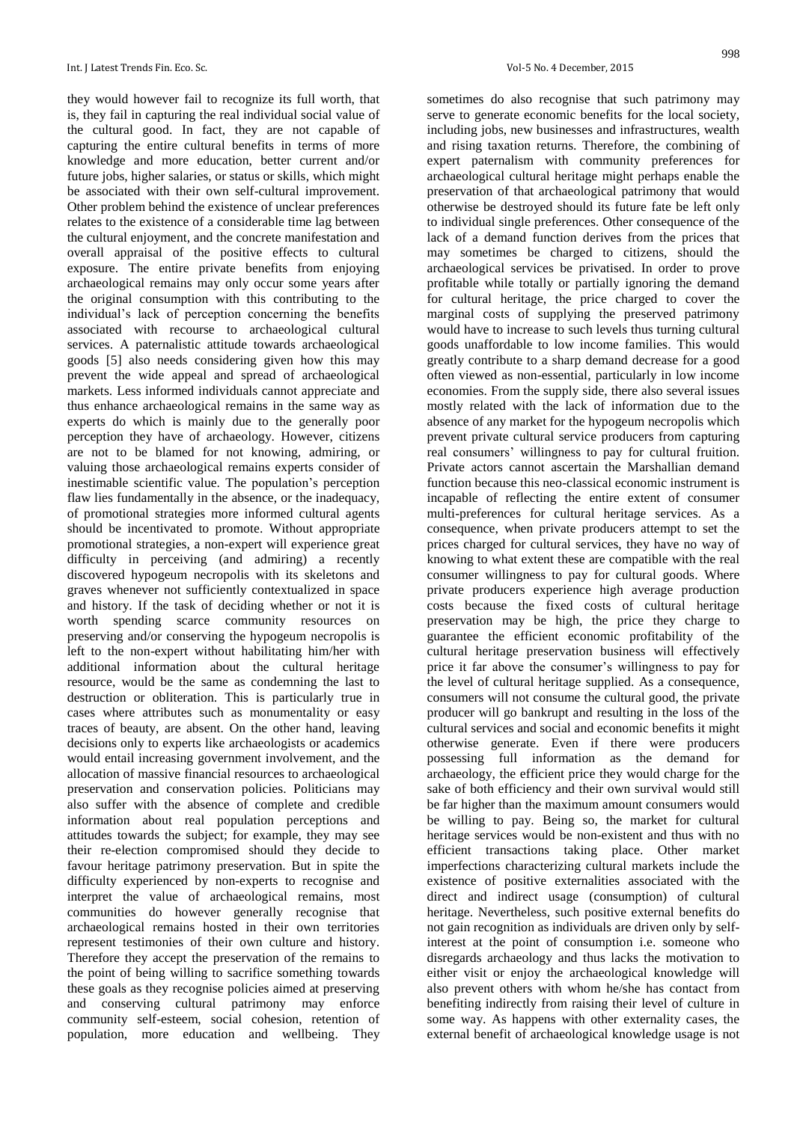they would however fail to recognize its full worth, that is, they fail in capturing the real individual social value of the cultural good. In fact, they are not capable of capturing the entire cultural benefits in terms of more knowledge and more education, better current and/or future jobs, higher salaries, or status or skills, which might be associated with their own self-cultural improvement. Other problem behind the existence of unclear preferences relates to the existence of a considerable time lag between the cultural enjoyment, and the concrete manifestation and overall appraisal of the positive effects to cultural exposure. The entire private benefits from enjoying archaeological remains may only occur some years after the original consumption with this contributing to the individual's lack of perception concerning the benefits associated with recourse to archaeological cultural services. A paternalistic attitude towards archaeological goods [5] also needs considering given how this may prevent the wide appeal and spread of archaeological markets. Less informed individuals cannot appreciate and thus enhance archaeological remains in the same way as experts do which is mainly due to the generally poor perception they have of archaeology. However, citizens are not to be blamed for not knowing, admiring, or valuing those archaeological remains experts consider of inestimable scientific value. The population's perception flaw lies fundamentally in the absence, or the inadequacy, of promotional strategies more informed cultural agents should be incentivated to promote. Without appropriate promotional strategies, a non-expert will experience great difficulty in perceiving (and admiring) a recently discovered hypogeum necropolis with its skeletons and graves whenever not sufficiently contextualized in space and history. If the task of deciding whether or not it is worth spending scarce community resources on preserving and/or conserving the hypogeum necropolis is left to the non-expert without habilitating him/her with additional information about the cultural heritage resource, would be the same as condemning the last to destruction or obliteration. This is particularly true in cases where attributes such as monumentality or easy traces of beauty, are absent. On the other hand, leaving decisions only to experts like archaeologists or academics would entail increasing government involvement, and the allocation of massive financial resources to archaeological preservation and conservation policies. Politicians may also suffer with the absence of complete and credible information about real population perceptions and attitudes towards the subject; for example, they may see their re-election compromised should they decide to favour heritage patrimony preservation. But in spite the difficulty experienced by non-experts to recognise and interpret the value of archaeological remains, most communities do however generally recognise that archaeological remains hosted in their own territories represent testimonies of their own culture and history. Therefore they accept the preservation of the remains to the point of being willing to sacrifice something towards these goals as they recognise policies aimed at preserving and conserving cultural patrimony may enforce community self-esteem, social cohesion, retention of population, more education and wellbeing. They

sometimes do also recognise that such patrimony may serve to generate economic benefits for the local society, including jobs, new businesses and infrastructures, wealth and rising taxation returns. Therefore, the combining of expert paternalism with community preferences for archaeological cultural heritage might perhaps enable the preservation of that archaeological patrimony that would otherwise be destroyed should its future fate be left only to individual single preferences. Other consequence of the lack of a demand function derives from the prices that may sometimes be charged to citizens, should the archaeological services be privatised. In order to prove profitable while totally or partially ignoring the demand for cultural heritage, the price charged to cover the marginal costs of supplying the preserved patrimony would have to increase to such levels thus turning cultural goods unaffordable to low income families. This would greatly contribute to a sharp demand decrease for a good often viewed as non-essential, particularly in low income economies. From the supply side, there also several issues mostly related with the lack of information due to the absence of any market for the hypogeum necropolis which prevent private cultural service producers from capturing real consumers' willingness to pay for cultural fruition. Private actors cannot ascertain the Marshallian demand function because this neo-classical economic instrument is incapable of reflecting the entire extent of consumer multi-preferences for cultural heritage services. As a consequence, when private producers attempt to set the prices charged for cultural services, they have no way of knowing to what extent these are compatible with the real consumer willingness to pay for cultural goods. Where private producers experience high average production costs because the fixed costs of cultural heritage preservation may be high, the price they charge to guarantee the efficient economic profitability of the cultural heritage preservation business will effectively price it far above the consumer's willingness to pay for the level of cultural heritage supplied. As a consequence, consumers will not consume the cultural good, the private producer will go bankrupt and resulting in the loss of the cultural services and social and economic benefits it might otherwise generate. Even if there were producers possessing full information as the demand for archaeology, the efficient price they would charge for the sake of both efficiency and their own survival would still be far higher than the maximum amount consumers would be willing to pay. Being so, the market for cultural heritage services would be non-existent and thus with no efficient transactions taking place. Other market imperfections characterizing cultural markets include the existence of positive externalities associated with the direct and indirect usage (consumption) of cultural heritage. Nevertheless, such positive external benefits do not gain recognition as individuals are driven only by selfinterest at the point of consumption i.e. someone who disregards archaeology and thus lacks the motivation to either visit or enjoy the archaeological knowledge will also prevent others with whom he/she has contact from benefiting indirectly from raising their level of culture in some way. As happens with other externality cases, the external benefit of archaeological knowledge usage is not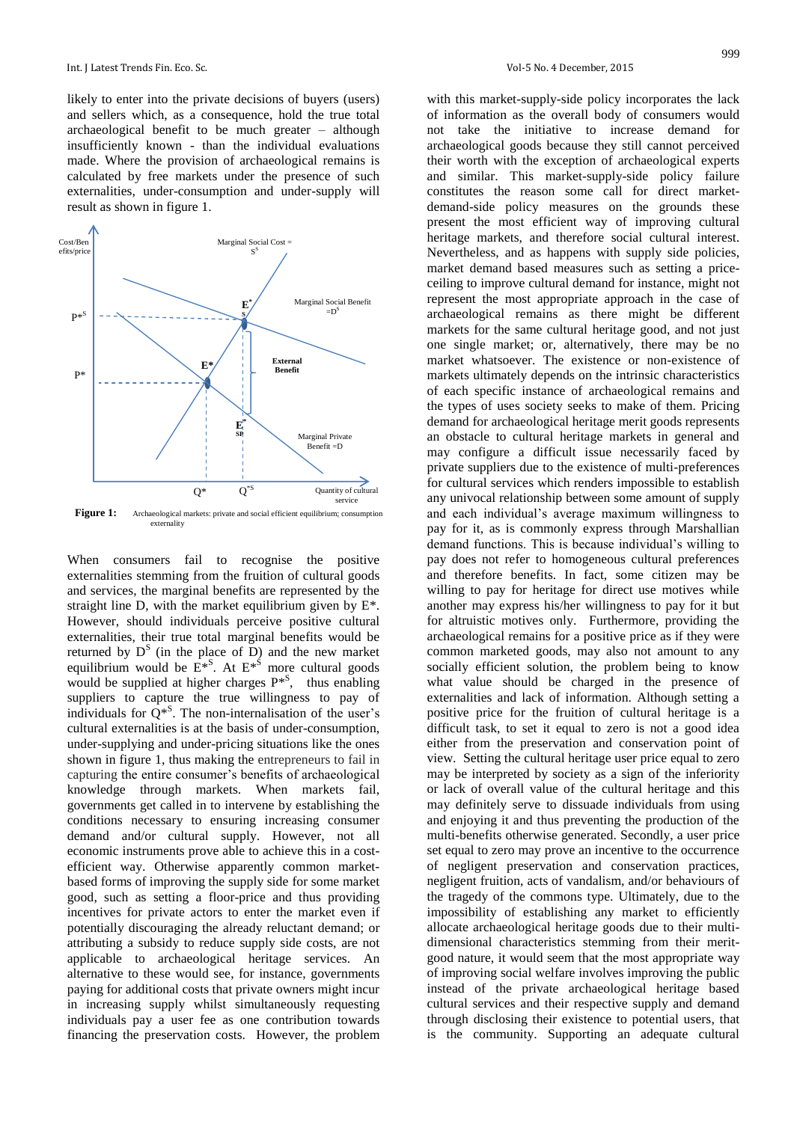likely to enter into the private decisions of buyers (users) and sellers which, as a consequence, hold the true total archaeological benefit to be much greater – although insufficiently known - than the individual evaluations made. Where the provision of archaeological remains is calculated by free markets under the presence of such externalities, under-consumption and under-supply will result as shown in figure 1.



Figure 1: Archaeological markets: private and social efficient equilibrium; consumption externality

When consumers fail to recognise the positive externalities stemming from the fruition of cultural goods and services, the marginal benefits are represented by the straight line D, with the market equilibrium given by  $E^*$ . However, should individuals perceive positive cultural externalities, their true total marginal benefits would be returned by  $D^S$  (in the place of  $\overline{D}$ ) and the new market equilibrium would be  $E^{*S}$ . At  $E^{*S}$  more cultural goods would be supplied at higher charges  $P^{*S}$ , thus enabling suppliers to capture the true willingness to pay of individuals for  $Q^{*S}$ . The non-internalisation of the user's cultural externalities is at the basis of under-consumption, under-supplying and under-pricing situations like the ones shown in figure 1, thus making the entrepreneurs to fail in capturing the entire consumer's benefits of archaeological knowledge through markets. When markets fail, governments get called in to intervene by establishing the conditions necessary to ensuring increasing consumer demand and/or cultural supply. However, not all economic instruments prove able to achieve this in a costefficient way. Otherwise apparently common marketbased forms of improving the supply side for some market good, such as setting a floor-price and thus providing incentives for private actors to enter the market even if potentially discouraging the already reluctant demand; or attributing a subsidy to reduce supply side costs, are not applicable to archaeological heritage services. An alternative to these would see, for instance, governments paying for additional costs that private owners might incur in increasing supply whilst simultaneously requesting individuals pay a user fee as one contribution towards financing the preservation costs. However, the problem

with this market-supply-side policy incorporates the lack of information as the overall body of consumers would not take the initiative to increase demand for archaeological goods because they still cannot perceived their worth with the exception of archaeological experts and similar. This market-supply-side policy failure constitutes the reason some call for direct marketdemand-side policy measures on the grounds these present the most efficient way of improving cultural heritage markets, and therefore social cultural interest. Nevertheless, and as happens with supply side policies, market demand based measures such as setting a priceceiling to improve cultural demand for instance, might not represent the most appropriate approach in the case of archaeological remains as there might be different markets for the same cultural heritage good, and not just one single market; or, alternatively, there may be no market whatsoever. The existence or non-existence of markets ultimately depends on the intrinsic characteristics of each specific instance of archaeological remains and the types of uses society seeks to make of them. Pricing demand for archaeological heritage merit goods represents an obstacle to cultural heritage markets in general and may configure a difficult issue necessarily faced by private suppliers due to the existence of multi-preferences for cultural services which renders impossible to establish any univocal relationship between some amount of supply and each individual's average maximum willingness to pay for it, as is commonly express through Marshallian demand functions. This is because individual's willing to pay does not refer to homogeneous cultural preferences and therefore benefits. In fact, some citizen may be willing to pay for heritage for direct use motives while another may express his/her willingness to pay for it but for altruistic motives only. Furthermore, providing the archaeological remains for a positive price as if they were common marketed goods, may also not amount to any socially efficient solution, the problem being to know what value should be charged in the presence of externalities and lack of information. Although setting a positive price for the fruition of cultural heritage is a difficult task, to set it equal to zero is not a good idea either from the preservation and conservation point of view. Setting the cultural heritage user price equal to zero may be interpreted by society as a sign of the inferiority or lack of overall value of the cultural heritage and this may definitely serve to dissuade individuals from using and enjoying it and thus preventing the production of the multi-benefits otherwise generated. Secondly, a user price set equal to zero may prove an incentive to the occurrence of negligent preservation and conservation practices, negligent fruition, acts of vandalism, and/or behaviours of the tragedy of the commons type. Ultimately, due to the impossibility of establishing any market to efficiently allocate archaeological heritage goods due to their multidimensional characteristics stemming from their meritgood nature, it would seem that the most appropriate way of improving social welfare involves improving the public instead of the private archaeological heritage based cultural services and their respective supply and demand through disclosing their existence to potential users, that is the community. Supporting an adequate cultural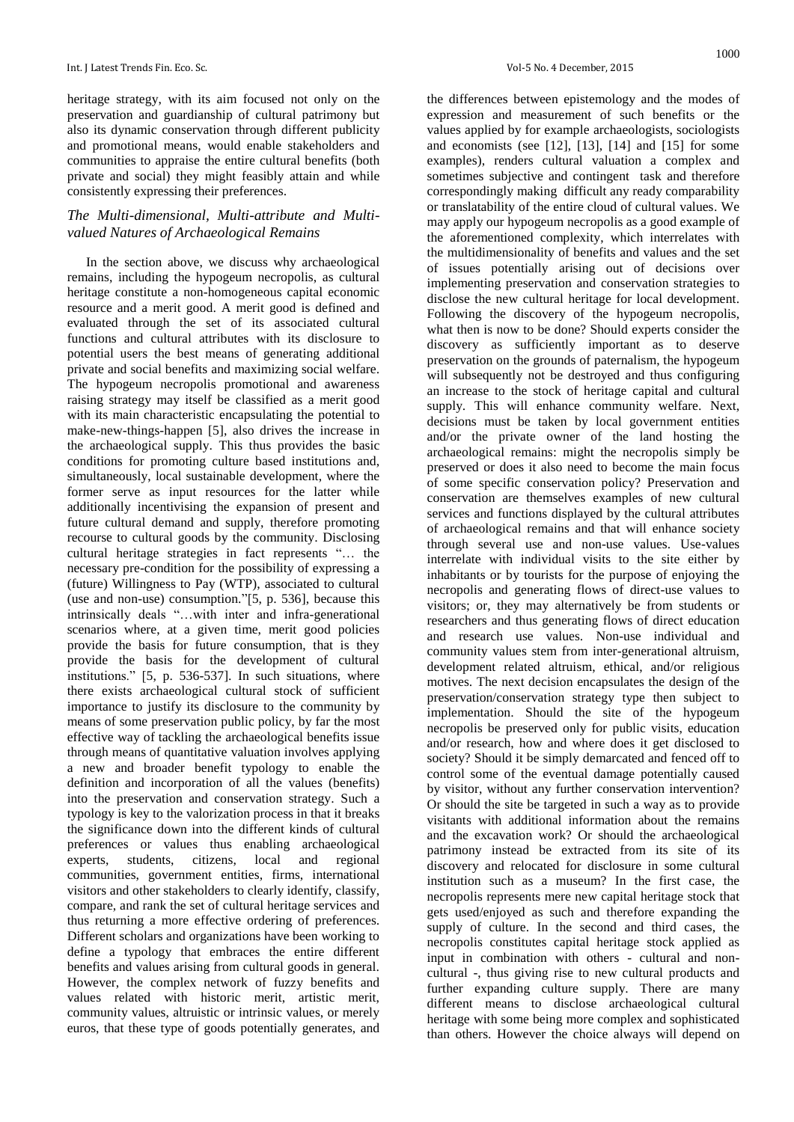heritage strategy, with its aim focused not only on the preservation and guardianship of cultural patrimony but also its dynamic conservation through different publicity and promotional means, would enable stakeholders and communities to appraise the entire cultural benefits (both private and social) they might feasibly attain and while consistently expressing their preferences.

## *The Multi-dimensional, Multi-attribute and Multivalued Natures of Archaeological Remains*

In the section above, we discuss why archaeological remains, including the hypogeum necropolis, as cultural heritage constitute a non-homogeneous capital economic resource and a merit good. A merit good is defined and evaluated through the set of its associated cultural functions and cultural attributes with its disclosure to potential users the best means of generating additional private and social benefits and maximizing social welfare. The hypogeum necropolis promotional and awareness raising strategy may itself be classified as a merit good with its main characteristic encapsulating the potential to make-new-things-happen [5], also drives the increase in the archaeological supply. This thus provides the basic conditions for promoting culture based institutions and, simultaneously, local sustainable development, where the former serve as input resources for the latter while additionally incentivising the expansion of present and future cultural demand and supply, therefore promoting recourse to cultural goods by the community. Disclosing cultural heritage strategies in fact represents "… the necessary pre-condition for the possibility of expressing a (future) Willingness to Pay (WTP), associated to cultural (use and non-use) consumption."[5, p. 536], because this intrinsically deals "…with inter and infra-generational scenarios where, at a given time, merit good policies provide the basis for future consumption, that is they provide the basis for the development of cultural institutions." [5, p. 536-537]. In such situations, where there exists archaeological cultural stock of sufficient importance to justify its disclosure to the community by means of some preservation public policy, by far the most effective way of tackling the archaeological benefits issue through means of quantitative valuation involves applying a new and broader benefit typology to enable the definition and incorporation of all the values (benefits) into the preservation and conservation strategy. Such a typology is key to the valorization process in that it breaks the significance down into the different kinds of cultural preferences or values thus enabling archaeological experts, students, citizens, local and regional communities, government entities, firms, international visitors and other stakeholders to clearly identify, classify, compare, and rank the set of cultural heritage services and thus returning a more effective ordering of preferences. Different scholars and organizations have been working to define a typology that embraces the entire different benefits and values arising from cultural goods in general. However, the complex network of fuzzy benefits and values related with historic merit, artistic merit, community values, altruistic or intrinsic values, or merely euros, that these type of goods potentially generates, and

the differences between epistemology and the modes of expression and measurement of such benefits or the values applied by for example archaeologists, sociologists and economists (see [12], [13], [14] and [15] for some examples), renders cultural valuation a complex and sometimes subjective and contingent task and therefore correspondingly making difficult any ready comparability or translatability of the entire cloud of cultural values. We may apply our hypogeum necropolis as a good example of the aforementioned complexity, which interrelates with the multidimensionality of benefits and values and the set of issues potentially arising out of decisions over implementing preservation and conservation strategies to disclose the new cultural heritage for local development. Following the discovery of the hypogeum necropolis, what then is now to be done? Should experts consider the discovery as sufficiently important as to deserve preservation on the grounds of paternalism, the hypogeum will subsequently not be destroyed and thus configuring an increase to the stock of heritage capital and cultural supply. This will enhance community welfare. Next, decisions must be taken by local government entities and/or the private owner of the land hosting the archaeological remains: might the necropolis simply be preserved or does it also need to become the main focus of some specific conservation policy? Preservation and conservation are themselves examples of new cultural services and functions displayed by the cultural attributes of archaeological remains and that will enhance society through several use and non-use values. Use-values interrelate with individual visits to the site either by inhabitants or by tourists for the purpose of enjoying the necropolis and generating flows of direct-use values to visitors; or, they may alternatively be from students or researchers and thus generating flows of direct education and research use values. Non-use individual and community values stem from inter-generational altruism, development related altruism, ethical, and/or religious motives. The next decision encapsulates the design of the preservation/conservation strategy type then subject to implementation. Should the site of the hypogeum necropolis be preserved only for public visits, education and/or research, how and where does it get disclosed to society? Should it be simply demarcated and fenced off to control some of the eventual damage potentially caused by visitor, without any further conservation intervention? Or should the site be targeted in such a way as to provide visitants with additional information about the remains and the excavation work? Or should the archaeological patrimony instead be extracted from its site of its discovery and relocated for disclosure in some cultural institution such as a museum? In the first case, the necropolis represents mere new capital heritage stock that gets used/enjoyed as such and therefore expanding the supply of culture. In the second and third cases, the necropolis constitutes capital heritage stock applied as input in combination with others - cultural and noncultural -, thus giving rise to new cultural products and further expanding culture supply. There are many different means to disclose archaeological cultural heritage with some being more complex and sophisticated than others. However the choice always will depend on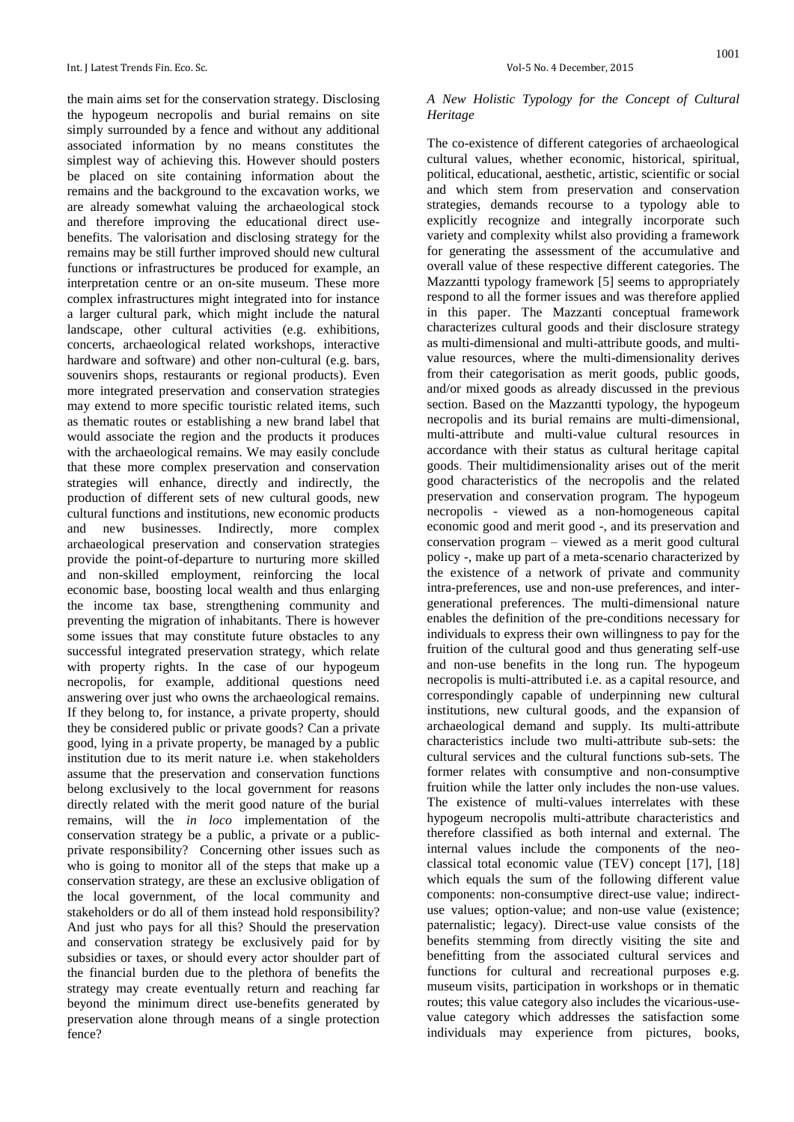the main aims set for the conservation strategy. Disclosing the hypogeum necropolis and burial remains on site simply surrounded by a fence and without any additional associated information by no means constitutes the simplest way of achieving this. However should posters be placed on site containing information about the remains and the background to the excavation works, we are already somewhat valuing the archaeological stock and therefore improving the educational direct usebenefits. The valorisation and disclosing strategy for the remains may be still further improved should new cultural functions or infrastructures be produced for example, an interpretation centre or an on-site museum. These more complex infrastructures might integrated into for instance a larger cultural park, which might include the natural landscape, other cultural activities (e.g. exhibitions, concerts, archaeological related workshops, interactive hardware and software) and other non-cultural (e.g. bars, souvenirs shops, restaurants or regional products). Even more integrated preservation and conservation strategies may extend to more specific touristic related items, such as thematic routes or establishing a new brand label that would associate the region and the products it produces with the archaeological remains. We may easily conclude that these more complex preservation and conservation strategies will enhance, directly and indirectly, the production of different sets of new cultural goods, new cultural functions and institutions, new economic products and new businesses. Indirectly, more complex archaeological preservation and conservation strategies provide the point-of-departure to nurturing more skilled and non-skilled employment, reinforcing the local economic base, boosting local wealth and thus enlarging the income tax base, strengthening community and preventing the migration of inhabitants. There is however some issues that may constitute future obstacles to any successful integrated preservation strategy, which relate with property rights. In the case of our hypogeum necropolis, for example, additional questions need answering over just who owns the archaeological remains. If they belong to, for instance, a private property, should they be considered public or private goods? Can a private good, lying in a private property, be managed by a public institution due to its merit nature i.e. when stakeholders assume that the preservation and conservation functions belong exclusively to the local government for reasons directly related with the merit good nature of the burial remains, will the *in loco* implementation of the conservation strategy be a public, a private or a publicprivate responsibility? Concerning other issues such as who is going to monitor all of the steps that make up a conservation strategy, are these an exclusive obligation of the local government, of the local community and stakeholders or do all of them instead hold responsibility? And just who pays for all this? Should the preservation and conservation strategy be exclusively paid for by subsidies or taxes, or should every actor shoulder part of the financial burden due to the plethora of benefits the strategy may create eventually return and reaching far beyond the minimum direct use-benefits generated by preservation alone through means of a single protection fence?

#### *A New Holistic Typology for the Concept of Cultural Heritage*

The co-existence of different categories of archaeological cultural values, whether economic, historical, spiritual, political, educational, aesthetic, artistic, scientific or social and which stem from preservation and conservation strategies, demands recourse to a typology able to explicitly recognize and integrally incorporate such variety and complexity whilst also providing a framework for generating the assessment of the accumulative and overall value of these respective different categories. The Mazzantti typology framework [5] seems to appropriately respond to all the former issues and was therefore applied in this paper. The Mazzanti conceptual framework characterizes cultural goods and their disclosure strategy as multi-dimensional and multi-attribute goods, and multivalue resources, where the multi-dimensionality derives from their categorisation as merit goods, public goods, and/or mixed goods as already discussed in the previous section. Based on the Mazzantti typology, the hypogeum necropolis and its burial remains are multi-dimensional, multi-attribute and multi-value cultural resources in accordance with their status as cultural heritage capital goods. Their multidimensionality arises out of the merit good characteristics of the necropolis and the related preservation and conservation program. The hypogeum necropolis - viewed as a non-homogeneous capital economic good and merit good -, and its preservation and conservation program – viewed as a merit good cultural policy -, make up part of a meta-scenario characterized by the existence of a network of private and community intra-preferences, use and non-use preferences, and intergenerational preferences. The multi-dimensional nature enables the definition of the pre-conditions necessary for individuals to express their own willingness to pay for the fruition of the cultural good and thus generating self-use and non-use benefits in the long run. The hypogeum necropolis is multi-attributed i.e. as a capital resource, and correspondingly capable of underpinning new cultural institutions, new cultural goods, and the expansion of archaeological demand and supply. Its multi-attribute characteristics include two multi-attribute sub-sets: the cultural services and the cultural functions sub-sets. The former relates with consumptive and non-consumptive fruition while the latter only includes the non-use values. The existence of multi-values interrelates with these hypogeum necropolis multi-attribute characteristics and therefore classified as both internal and external. The internal values include the components of the neoclassical total economic value (TEV) concept [17], [18] which equals the sum of the following different value components: non-consumptive direct-use value; indirectuse values; option-value; and non-use value (existence; paternalistic; legacy). Direct-use value consists of the benefits stemming from directly visiting the site and benefitting from the associated cultural services and functions for cultural and recreational purposes e.g. museum visits, participation in workshops or in thematic routes; this value category also includes the vicarious-usevalue category which addresses the satisfaction some individuals may experience from pictures, books,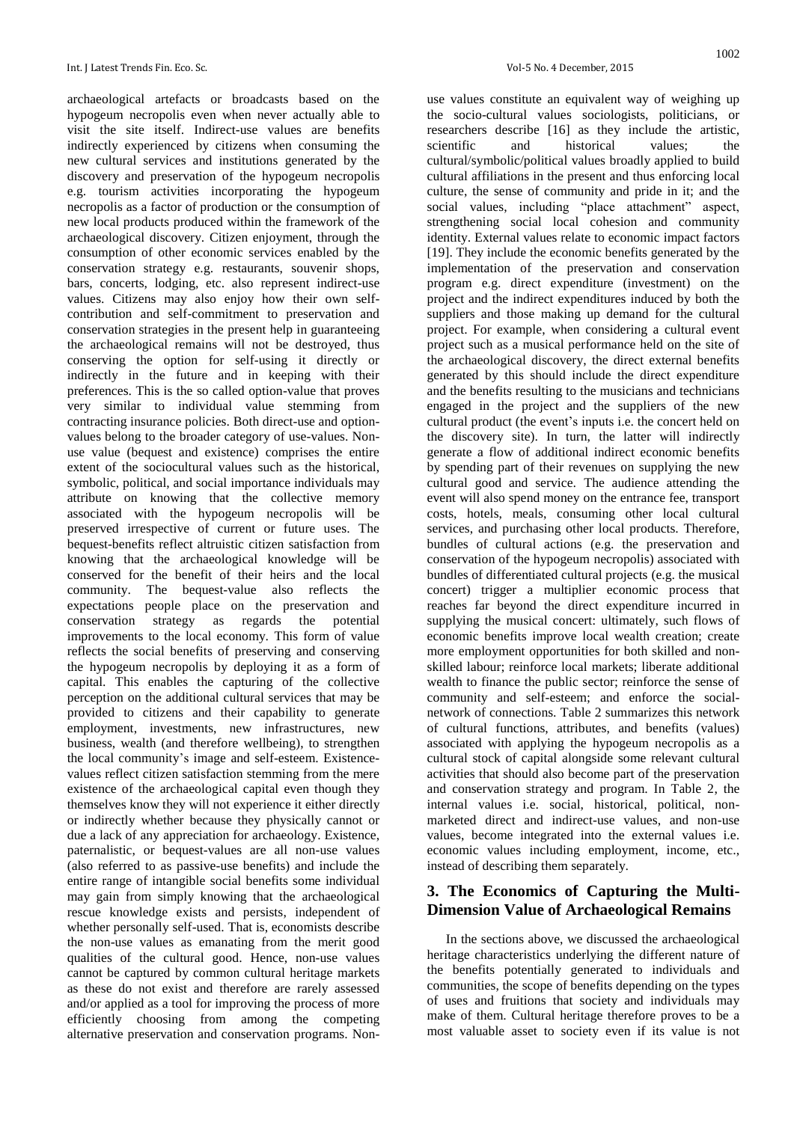archaeological artefacts or broadcasts based on the hypogeum necropolis even when never actually able to visit the site itself. Indirect-use values are benefits indirectly experienced by citizens when consuming the new cultural services and institutions generated by the discovery and preservation of the hypogeum necropolis e.g. tourism activities incorporating the hypogeum necropolis as a factor of production or the consumption of new local products produced within the framework of the archaeological discovery. Citizen enjoyment, through the consumption of other economic services enabled by the conservation strategy e.g. restaurants, souvenir shops, bars, concerts, lodging, etc. also represent indirect-use values. Citizens may also enjoy how their own selfcontribution and self-commitment to preservation and conservation strategies in the present help in guaranteeing the archaeological remains will not be destroyed, thus conserving the option for self-using it directly or indirectly in the future and in keeping with their preferences. This is the so called option-value that proves very similar to individual value stemming from contracting insurance policies. Both direct-use and optionvalues belong to the broader category of use-values. Nonuse value (bequest and existence) comprises the entire extent of the sociocultural values such as the historical, symbolic, political, and social importance individuals may attribute on knowing that the collective memory associated with the hypogeum necropolis will be preserved irrespective of current or future uses. The bequest-benefits reflect altruistic citizen satisfaction from knowing that the archaeological knowledge will be conserved for the benefit of their heirs and the local community. The bequest-value also reflects the expectations people place on the preservation and conservation strategy as regards the potential improvements to the local economy. This form of value reflects the social benefits of preserving and conserving the hypogeum necropolis by deploying it as a form of capital. This enables the capturing of the collective perception on the additional cultural services that may be provided to citizens and their capability to generate employment, investments, new infrastructures, new business, wealth (and therefore wellbeing), to strengthen the local community's image and self-esteem. Existencevalues reflect citizen satisfaction stemming from the mere existence of the archaeological capital even though they themselves know they will not experience it either directly or indirectly whether because they physically cannot or due a lack of any appreciation for archaeology. Existence, paternalistic, or bequest-values are all non-use values (also referred to as passive-use benefits) and include the entire range of intangible social benefits some individual may gain from simply knowing that the archaeological rescue knowledge exists and persists, independent of whether personally self-used. That is, economists describe the non-use values as emanating from the merit good qualities of the cultural good. Hence, non-use values cannot be captured by common cultural heritage markets as these do not exist and therefore are rarely assessed and/or applied as a tool for improving the process of more efficiently choosing from among the competing alternative preservation and conservation programs. Nonuse values constitute an equivalent way of weighing up the socio-cultural values sociologists, politicians, or researchers describe [16] as they include the artistic, scientific and historical values: the cultural/symbolic/political values broadly applied to build cultural affiliations in the present and thus enforcing local culture, the sense of community and pride in it; and the social values, including "place attachment" aspect, strengthening social local cohesion and community identity. External values relate to economic impact factors [19]. They include the economic benefits generated by the implementation of the preservation and conservation program e.g. direct expenditure (investment) on the project and the indirect expenditures induced by both the suppliers and those making up demand for the cultural project. For example, when considering a cultural event project such as a musical performance held on the site of the archaeological discovery, the direct external benefits generated by this should include the direct expenditure and the benefits resulting to the musicians and technicians engaged in the project and the suppliers of the new cultural product (the event's inputs i.e. the concert held on the discovery site). In turn, the latter will indirectly generate a flow of additional indirect economic benefits by spending part of their revenues on supplying the new cultural good and service. The audience attending the event will also spend money on the entrance fee, transport costs, hotels, meals, consuming other local cultural services, and purchasing other local products. Therefore, bundles of cultural actions (e.g. the preservation and conservation of the hypogeum necropolis) associated with bundles of differentiated cultural projects (e.g. the musical concert) trigger a multiplier economic process that reaches far beyond the direct expenditure incurred in supplying the musical concert: ultimately, such flows of economic benefits improve local wealth creation; create more employment opportunities for both skilled and nonskilled labour; reinforce local markets; liberate additional wealth to finance the public sector; reinforce the sense of community and self-esteem; and enforce the socialnetwork of connections. Table 2 summarizes this network of cultural functions, attributes, and benefits (values) associated with applying the hypogeum necropolis as a cultural stock of capital alongside some relevant cultural activities that should also become part of the preservation and conservation strategy and program. In Table 2, the internal values i.e. social, historical, political, nonmarketed direct and indirect-use values, and non-use values, become integrated into the external values i.e. economic values including employment, income, etc., instead of describing them separately.

# **3. The Economics of Capturing the Multi-Dimension Value of Archaeological Remains**

In the sections above, we discussed the archaeological heritage characteristics underlying the different nature of the benefits potentially generated to individuals and communities, the scope of benefits depending on the types of uses and fruitions that society and individuals may make of them. Cultural heritage therefore proves to be a most valuable asset to society even if its value is not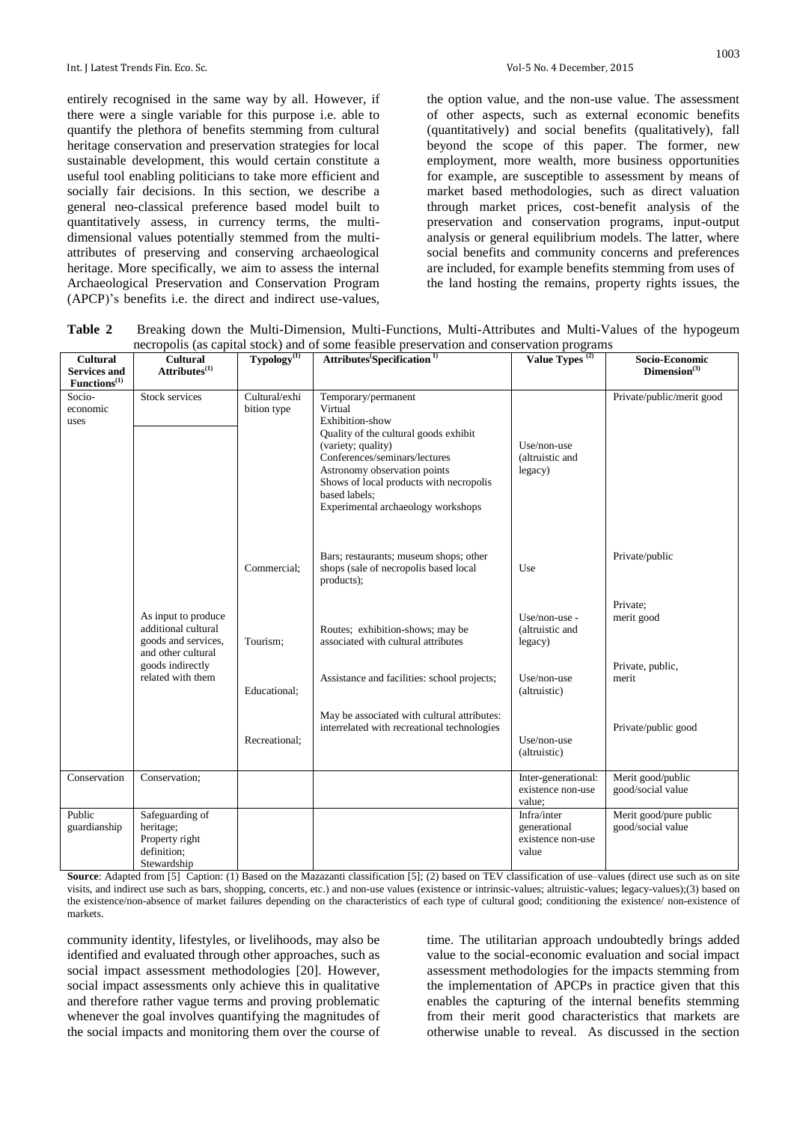entirely recognised in the same way by all. However, if there were a single variable for this purpose i.e. able to quantify the plethora of benefits stemming from cultural heritage conservation and preservation strategies for local sustainable development, this would certain constitute a useful tool enabling politicians to take more efficient and socially fair decisions. In this section, we describe a general neo-classical preference based model built to quantitatively assess, in currency terms, the multidimensional values potentially stemmed from the multiattributes of preserving and conserving archaeological heritage. More specifically, we aim to assess the internal Archaeological Preservation and Conservation Program (APCP)'s benefits i.e. the direct and indirect use-values,

the option value, and the non-use value. The assessment of other aspects, such as external economic benefits (quantitatively) and social benefits (qualitatively), fall beyond the scope of this paper. The former, new employment, more wealth, more business opportunities for example, are susceptible to assessment by means of market based methodologies, such as direct valuation through market prices, cost-benefit analysis of the preservation and conservation programs, input-output analysis or general equilibrium models. The latter, where social benefits and community concerns and preferences are included, for example benefits stemming from uses of the land hosting the remains, property rights issues, the

**Table 2** Breaking down the Multi-Dimension, Multi-Functions, Multi-Attributes and Multi-Values of the hypogeum necropolis (as capital stock) and of some feasible preservation and conservation programs

| <b>Cultural</b>            | Cultural                                                                                | Typology <sup>(1)</sup>      | nccropolis (as capital stock) and of some reasible preservation and conservation programs<br>Attributes Specification <sup>1)</sup>                                                                                            | Value Types <sup>(2)</sup>                                | Socio-Economic                              |
|----------------------------|-----------------------------------------------------------------------------------------|------------------------------|--------------------------------------------------------------------------------------------------------------------------------------------------------------------------------------------------------------------------------|-----------------------------------------------------------|---------------------------------------------|
| <b>Services and</b>        | Attributes <sup>(1)</sup>                                                               |                              |                                                                                                                                                                                                                                |                                                           | Dimension <sup>(3)</sup>                    |
| Functions <sup>(1)</sup>   |                                                                                         |                              |                                                                                                                                                                                                                                |                                                           |                                             |
| Socio-<br>economic<br>uses | Stock services                                                                          | Cultural/exhi<br>bition type | Temporary/permanent<br>Virtual<br>Exhibition-show                                                                                                                                                                              |                                                           | Private/public/merit good                   |
|                            |                                                                                         |                              | Quality of the cultural goods exhibit<br>(variety; quality)<br>Conferences/seminars/lectures<br>Astronomy observation points<br>Shows of local products with necropolis<br>based labels;<br>Experimental archaeology workshops | Use/non-use<br>(altruistic and<br>legacy)                 |                                             |
|                            |                                                                                         | Commercial:                  | Bars; restaurants; museum shops; other<br>shops (sale of necropolis based local<br>products);                                                                                                                                  | Use                                                       | Private/public                              |
|                            | As input to produce<br>additional cultural<br>goods and services,<br>and other cultural | Tourism:                     | Routes; exhibition-shows; may be<br>associated with cultural attributes                                                                                                                                                        | Use/non-use -<br>(altruistic and<br>legacy)               | Private;<br>merit good                      |
|                            | goods indirectly<br>related with them                                                   | Educational;                 | Assistance and facilities: school projects;                                                                                                                                                                                    | Use/non-use<br>(altruistic)                               | Private, public,<br>merit                   |
|                            |                                                                                         | Recreational;                | May be associated with cultural attributes:<br>interrelated with recreational technologies                                                                                                                                     | Use/non-use<br>(altruistic)                               | Private/public good                         |
| Conservation               | Conservation;                                                                           |                              |                                                                                                                                                                                                                                | Inter-generational:<br>existence non-use<br>value;        | Merit good/public<br>good/social value      |
| Public<br>guardianship     | Safeguarding of<br>heritage;<br>Property right<br>definition;<br>Stewardship            |                              |                                                                                                                                                                                                                                | Infra/inter<br>generational<br>existence non-use<br>value | Merit good/pure public<br>good/social value |

**Source**: Adapted from [5] Caption: (1) Based on the Mazazanti classification [5]; (2) based on TEV classification of use–values (direct use such as on site visits, and indirect use such as bars, shopping, concerts, etc.) and non-use values (existence or intrinsic-values; altruistic-values; legacy-values);(3) based on the existence/non-absence of market failures depending on the characteristics of each type of cultural good; conditioning the existence/ non-existence of markets.

community identity, lifestyles, or livelihoods, may also be identified and evaluated through other approaches, such as social impact assessment methodologies [20]. However, social impact assessments only achieve this in qualitative and therefore rather vague terms and proving problematic whenever the goal involves quantifying the magnitudes of the social impacts and monitoring them over the course of time. The utilitarian approach undoubtedly brings added value to the social-economic evaluation and social impact assessment methodologies for the impacts stemming from the implementation of APCPs in practice given that this enables the capturing of the internal benefits stemming from their merit good characteristics that markets are otherwise unable to reveal. As discussed in the section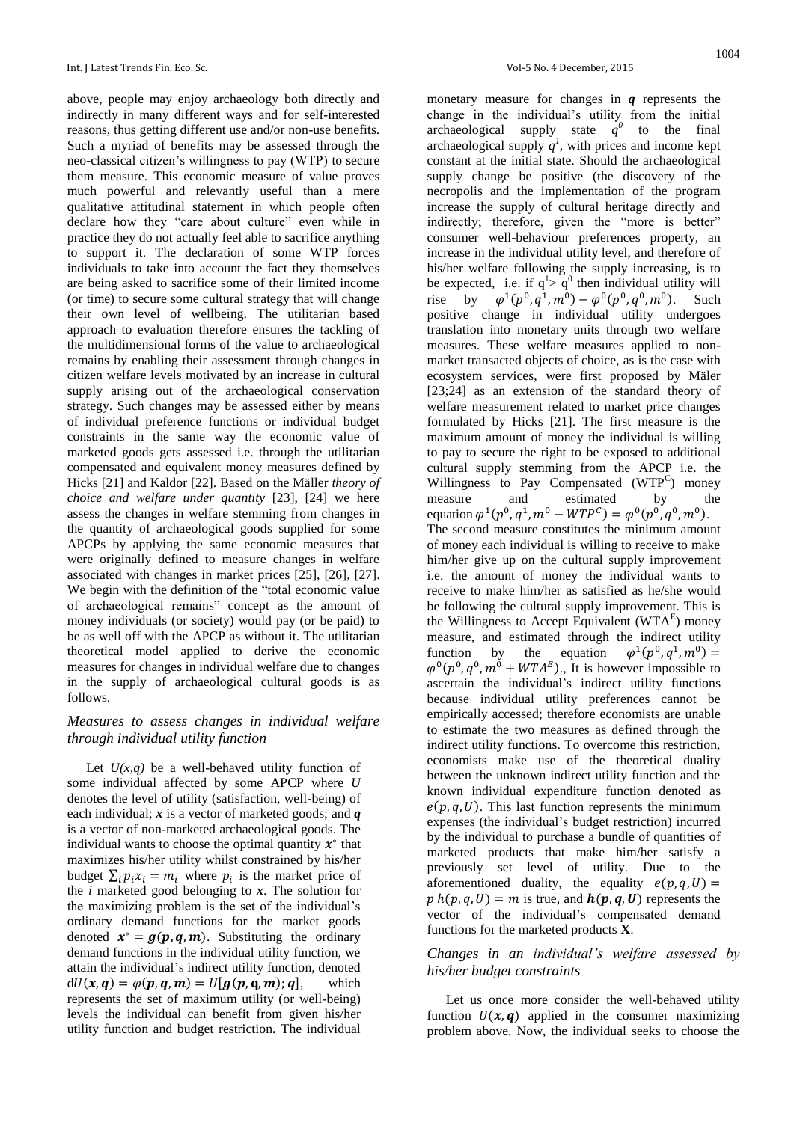above, people may enjoy archaeology both directly and indirectly in many different ways and for self-interested reasons, thus getting different use and/or non-use benefits. Such a myriad of benefits may be assessed through the neo-classical citizen's willingness to pay (WTP) to secure them measure. This economic measure of value proves much powerful and relevantly useful than a mere qualitative attitudinal statement in which people often declare how they "care about culture" even while in practice they do not actually feel able to sacrifice anything to support it. The declaration of some WTP forces individuals to take into account the fact they themselves are being asked to sacrifice some of their limited income (or time) to secure some cultural strategy that will change their own level of wellbeing. The utilitarian based approach to evaluation therefore ensures the tackling of the multidimensional forms of the value to archaeological remains by enabling their assessment through changes in citizen welfare levels motivated by an increase in cultural supply arising out of the archaeological conservation strategy. Such changes may be assessed either by means of individual preference functions or individual budget constraints in the same way the economic value of marketed goods gets assessed i.e. through the utilitarian compensated and equivalent money measures defined by Hicks [21] and Kaldor [22]. Based on the Mäller *theory of choice and welfare under quantity* [23], [24] we here assess the changes in welfare stemming from changes in the quantity of archaeological goods supplied for some APCPs by applying the same economic measures that were originally defined to measure changes in welfare associated with changes in market prices [25], [26], [27]. We begin with the definition of the "total economic value of archaeological remains" concept as the amount of money individuals (or society) would pay (or be paid) to be as well off with the APCP as without it. The utilitarian theoretical model applied to derive the economic measures for changes in individual welfare due to changes in the supply of archaeological cultural goods is as follows.

#### *Measures to assess changes in individual welfare through individual utility function*

Let  $U(x,q)$  be a well-behaved utility function of some individual affected by some APCP where *U* denotes the level of utility (satisfaction, well-being) of each individual; *x* is a vector of marketed goods; and *q* is a vector of non-marketed archaeological goods. The individual wants to choose the optimal quantity  $x^*$  that maximizes his/her utility whilst constrained by his/her budget  $\sum_i p_i x_i = m_i$  where  $p_i$  is the market price of the *i* marketed good belonging to *x*. The solution for the maximizing problem is the set of the individual's ordinary demand functions for the market goods denoted  $x^* = g(p, q, m)$ . Substituting the ordinary demand functions in the individual utility function, we attain the individual's indirect utility function, denoted  $dU(x, q) = \varphi(p, q, m) = U[g(p, q, m); q],$  which represents the set of maximum utility (or well-being) levels the individual can benefit from given his/her utility function and budget restriction. The individual

monetary measure for changes in *q* represents the change in the individual's utility from the initial archaeological supply state  $q^0$  to the final archaeological supply  $q^1$ , with prices and income kept constant at the initial state. Should the archaeological supply change be positive (the discovery of the necropolis and the implementation of the program increase the supply of cultural heritage directly and indirectly; therefore, given the "more is better" consumer well-behaviour preferences property, an increase in the individual utility level, and therefore of his/her welfare following the supply increasing, is to be expected, i.e. if  $q^1 > q^0$  then individual utility will rise by  $^{1}(p^{0}, q^{1}, m^{0}) - \varphi^{0}(p^{0}, q^{0}, m^{0}).$  Such positive change in individual utility undergoes translation into monetary units through two welfare measures. These welfare measures applied to nonmarket transacted objects of choice, as is the case with ecosystem services, were first proposed by Mäler [23;24] as an extension of the standard theory of welfare measurement related to market price changes formulated by Hicks [21]. The first measure is the maximum amount of money the individual is willing to pay to secure the right to be exposed to additional cultural supply stemming from the APCP i.e. the Willingness to Pay Compensated (WTP<sup>C</sup>) money measure and estimated by the equation  $\varphi^1(p^0, q^1, m^0 - WTP^C) = \varphi^0(p^0, q^0, m^0)$ . The second measure constitutes the minimum amount of money each individual is willing to receive to make him/her give up on the cultural supply improvement i.e. the amount of money the individual wants to receive to make him/her as satisfied as he/she would be following the cultural supply improvement. This is the Willingness to Accept Equivalent  $(WTA^E)$  money measure, and estimated through the indirect utility function by the equation  $\varphi^1(p^0, q^1, m^0)$  $\varphi^{0}(p^{0}, q^{0}, m^{0} + WTA^{E})$ ., It is however impossible to ascertain the individual's indirect utility functions because individual utility preferences cannot be empirically accessed; therefore economists are unable to estimate the two measures as defined through the indirect utility functions. To overcome this restriction, economists make use of the theoretical duality between the unknown indirect utility function and the known individual expenditure function denoted as  $e(p, q, U)$ . This last function represents the minimum expenses (the individual's budget restriction) incurred by the individual to purchase a bundle of quantities of marketed products that make him/her satisfy a previously set level of utility. Due to the aforementioned duality, the equality  $e(p, q, U)$  =  $p h(p, q, U) = m$  is true, and  $h(p, q, U)$  represents the vector of the individual's compensated demand functions for the marketed products **X**.

#### *Changes in an individual's welfare assessed by his/her budget constraints*

Let us once more consider the well-behaved utility function  $U(x, q)$  applied in the consumer maximizing problem above. Now, the individual seeks to choose the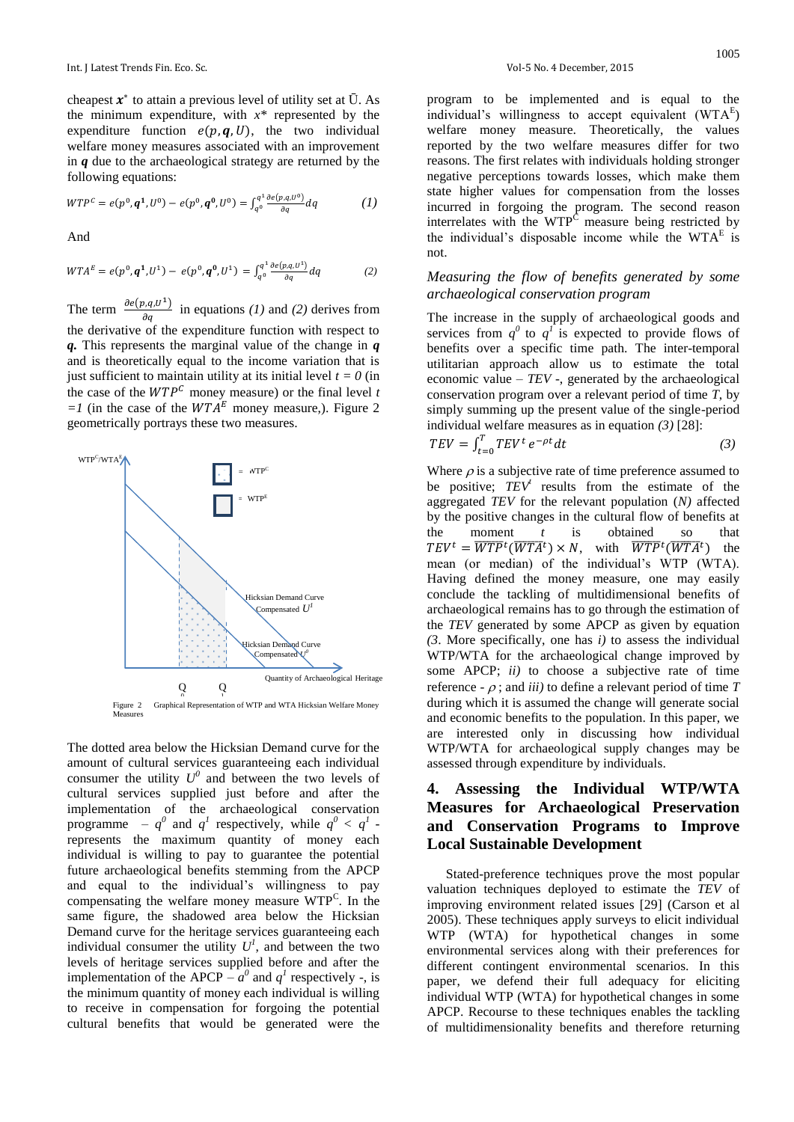cheapest  $x^*$  to attain a previous level of utility set at  $\overline{U}$ . As the minimum expenditure, with  $x^*$  represented by the expenditure function  $e(p, q, U)$ , the two individual welfare money measures associated with an improvement in *q* due to the archaeological strategy are returned by the following equations:

$$
WTP^{c} = e(p^{0}, \mathbf{q}^{1}, U^{0}) - e(p^{0}, \mathbf{q}^{0}, U^{0}) = \int_{q^{0}}^{q^{1}} \frac{\partial e(p, q, U^{0})}{\partial q} dq
$$
 (1)

And

$$
WTA^{E} = e(p^{0}, \mathbf{q}^{1}, U^{1}) - e(p^{0}, \mathbf{q}^{0}, U^{1}) = \int_{q^{0}}^{q^{1}} \frac{\partial e(p,q, U^{1})}{\partial q} dq
$$
 (2)

The term  $\frac{\partial e(p,q,U^1)}{\partial q}$  in equations *(1)* and *(2)* derives from the derivative of the expenditure function with respect to *q.* This represents the marginal value of the change in *q* and is theoretically equal to the income variation that is just sufficient to maintain utility at its initial level  $t = 0$  (in the case of the  $WTP^C$  money measure) or the final level *t*  $=1$  (in the case of the  $WTA^E$  money measure,). Figure 2 geometrically portrays these two measures.



The dotted area below the Hicksian Demand curve for the amount of cultural services guaranteeing each individual consumer the utility  $U^0$  and between the two levels of cultural services supplied just before and after the implementation of the archaeological conservation programme –  $q^0$  and  $q^1$  respectively, while  $q^0 < q^1$ represents the maximum quantity of money each individual is willing to pay to guarantee the potential future archaeological benefits stemming from the APCP and equal to the individual's willingness to pay compensating the welfare money measure WTP<sup>C</sup> . In the same figure, the shadowed area below the Hicksian Demand curve for the heritage services guaranteeing each individual consumer the utility  $U^l$ , and between the two levels of heritage services supplied before and after the implementation of the APCP  $-a^0$  and  $q^1$  respectively -, is the minimum quantity of money each individual is willing to receive in compensation for forgoing the potential cultural benefits that would be generated were the

program to be implemented and is equal to the individual's willingness to accept equivalent  $(WTA^E)$ welfare money measure. Theoretically, the values reported by the two welfare measures differ for two reasons. The first relates with individuals holding stronger negative perceptions towards losses, which make them state higher values for compensation from the losses incurred in forgoing the program. The second reason interrelates with the  $WTP^C$  measure being restricted by the individual's disposable income while the  $WTA<sup>E</sup>$  is not.

#### *Measuring the flow of benefits generated by some archaeological conservation program*

The increase in the supply of archaeological goods and services from  $q^0$  to  $q^1$  is expected to provide flows of benefits over a specific time path. The inter-temporal utilitarian approach allow us to estimate the total economic value – *TEV* -, generated by the archaeological conservation program over a relevant period of time *T*, by simply summing up the present value of the single-period individual welfare measures as in equation *(3)* [28]:

$$
TEV = \int_{t=0}^{T} TEV^t e^{-\rho t} dt \tag{3}
$$

Where  $\rho$  is a subjective rate of time preference assumed to be positive; *TEV<sup>t</sup>* results from the estimate of the aggregated *TEV* for the relevant population (*N)* affected by the positive changes in the cultural flow of benefits at the moment *t* is obtained so that  $TEV^t = \overline{WTP}^t(\overline{WTA}^t) \times N$ , with  $\overline{WTP}^t(\overline{WTA}^t)$  the mean (or median) of the individual's WTP (WTA). Having defined the money measure, one may easily conclude the tackling of multidimensional benefits of archaeological remains has to go through the estimation of the *TEV* generated by some APCP as given by equation *(3*. More specifically, one has *i)* to assess the individual WTP/WTA for the archaeological change improved by some APCP; *ii)* to choose a subjective rate of time reference  $\theta$  ; and *iii*) to define a relevant period of time *T* during which it is assumed the change will generate social and economic benefits to the population. In this paper, we are interested only in discussing how individual WTP/WTA for archaeological supply changes may be assessed through expenditure by individuals.

# **4. Assessing the Individual WTP/WTA Measures for Archaeological Preservation and Conservation Programs to Improve Local Sustainable Development**

Stated-preference techniques prove the most popular valuation techniques deployed to estimate the *TEV* of improving environment related issues [29] (Carson et al 2005). These techniques apply surveys to elicit individual WTP (WTA) for hypothetical changes in some environmental services along with their preferences for different contingent environmental scenarios. In this paper, we defend their full adequacy for eliciting individual WTP (WTA) for hypothetical changes in some APCP. Recourse to these techniques enables the tackling of multidimensionality benefits and therefore returning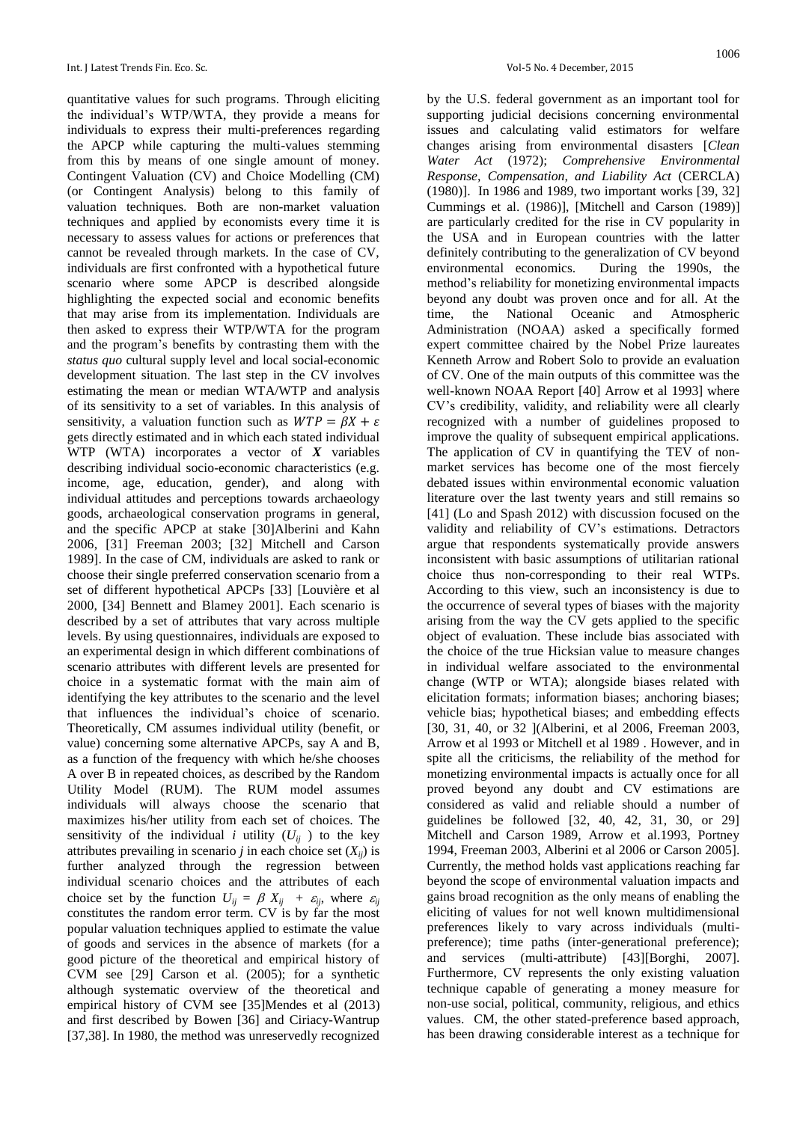quantitative values for such programs. Through eliciting the individual's WTP/WTA, they provide a means for individuals to express their multi-preferences regarding the APCP while capturing the multi-values stemming from this by means of one single amount of money. Contingent Valuation (CV) and Choice Modelling (CM) (or Contingent Analysis) belong to this family of valuation techniques. Both are non-market valuation techniques and applied by economists every time it is necessary to assess values for actions or preferences that cannot be revealed through markets. In the case of CV, individuals are first confronted with a hypothetical future scenario where some APCP is described alongside highlighting the expected social and economic benefits that may arise from its implementation. Individuals are then asked to express their WTP/WTA for the program and the program's benefits by contrasting them with the *status quo* cultural supply level and local social-economic development situation. The last step in the CV involves estimating the mean or median WTA/WTP and analysis of its sensitivity to a set of variables. In this analysis of sensitivity, a valuation function such as  $WTP = \beta X + \varepsilon$ gets directly estimated and in which each stated individual WTP (WTA) incorporates a vector of *X* variables describing individual socio-economic characteristics (e.g. income, age, education, gender), and along with individual attitudes and perceptions towards archaeology goods, archaeological conservation programs in general, and the specific APCP at stake [30]Alberini and Kahn 2006, [31] Freeman 2003; [32] Mitchell and Carson 1989]. In the case of CM, individuals are asked to rank or choose their single preferred conservation scenario from a set of different hypothetical APCPs [33] [Louvière et al 2000, [34] Bennett and Blamey 2001]. Each scenario is described by a set of attributes that vary across multiple levels. By using questionnaires, individuals are exposed to an experimental design in which different combinations of scenario attributes with different levels are presented for choice in a systematic format with the main aim of identifying the key attributes to the scenario and the level that influences the individual's choice of scenario. Theoretically, CM assumes individual utility (benefit, or value) concerning some alternative APCPs, say A and B, as a function of the frequency with which he/she chooses A over B in repeated choices, as described by the Random Utility Model (RUM). The RUM model assumes individuals will always choose the scenario that maximizes his/her utility from each set of choices. The sensitivity of the individual *i* utility  $(U_{ij})$  to the key attributes prevailing in scenario *j* in each choice set  $(X_{ij})$  is further analyzed through the regression between individual scenario choices and the attributes of each choice set by the function  $U_{ij} = \beta X_{ij} + \varepsilon_{ij}$ , where  $\varepsilon_{ij}$ constitutes the random error term. CV is by far the most popular valuation techniques applied to estimate the value of goods and services in the absence of markets (for a good picture of the theoretical and empirical history of CVM see [29] Carson et al. (2005); for a synthetic although systematic overview of the theoretical and empirical history of CVM see [35]Mendes et al (2013) and first described by Bowen [36] and Ciriacy-Wantrup [37,38]. In 1980, the method was unreservedly recognized

by the U.S. federal government as an important tool for supporting judicial decisions concerning environmental issues and calculating valid estimators for welfare changes arising from environmental disasters [*Clean Water Act* (1972); *Comprehensive Environmental Response, Compensation, and Liability Act* (CERCLA) (1980)]. In 1986 and 1989, two important works [39, 32] Cummings et al. (1986)], [Mitchell and Carson (1989)] are particularly credited for the rise in CV popularity in the USA and in European countries with the latter definitely contributing to the generalization of CV beyond environmental economics. During the 1990s, the method's reliability for monetizing environmental impacts beyond any doubt was proven once and for all. At the time, the National Oceanic and Atmospheric Administration (NOAA) asked a specifically formed expert committee chaired by the Nobel Prize laureates Kenneth Arrow and Robert Solo to provide an evaluation of CV. One of the main outputs of this committee was the well-known NOAA Report [40] Arrow et al 1993] where CV's credibility, validity, and reliability were all clearly recognized with a number of guidelines proposed to improve the quality of subsequent empirical applications. The application of CV in quantifying the TEV of nonmarket services has become one of the most fiercely debated issues within environmental economic valuation literature over the last twenty years and still remains so [41] (Lo and Spash 2012) with discussion focused on the validity and reliability of CV's estimations. Detractors argue that respondents systematically provide answers inconsistent with basic assumptions of utilitarian rational choice thus non-corresponding to their real WTPs. According to this view, such an inconsistency is due to the occurrence of several types of biases with the majority arising from the way the CV gets applied to the specific object of evaluation. These include bias associated with the choice of the true Hicksian value to measure changes in individual welfare associated to the environmental change (WTP or WTA); alongside biases related with elicitation formats; information biases; anchoring biases; vehicle bias; hypothetical biases; and embedding effects [30, 31, 40, or 32 ](Alberini, et al 2006, Freeman 2003, Arrow et al 1993 or Mitchell et al 1989 . However, and in spite all the criticisms, the reliability of the method for monetizing environmental impacts is actually once for all proved beyond any doubt and CV estimations are considered as valid and reliable should a number of guidelines be followed [32, 40, 42, 31, 30, or 29] Mitchell and Carson 1989, Arrow et al.1993, Portney 1994, Freeman 2003, Alberini et al 2006 or Carson 2005]. Currently, the method holds vast applications reaching far beyond the scope of environmental valuation impacts and gains broad recognition as the only means of enabling the eliciting of values for not well known multidimensional preferences likely to vary across individuals (multipreference); time paths (inter-generational preference); and services (multi-attribute) [43][Borghi, 2007]. Furthermore, CV represents the only existing valuation technique capable of generating a money measure for non-use social, political, community, religious, and ethics values. CM, the other stated-preference based approach, has been drawing considerable interest as a technique for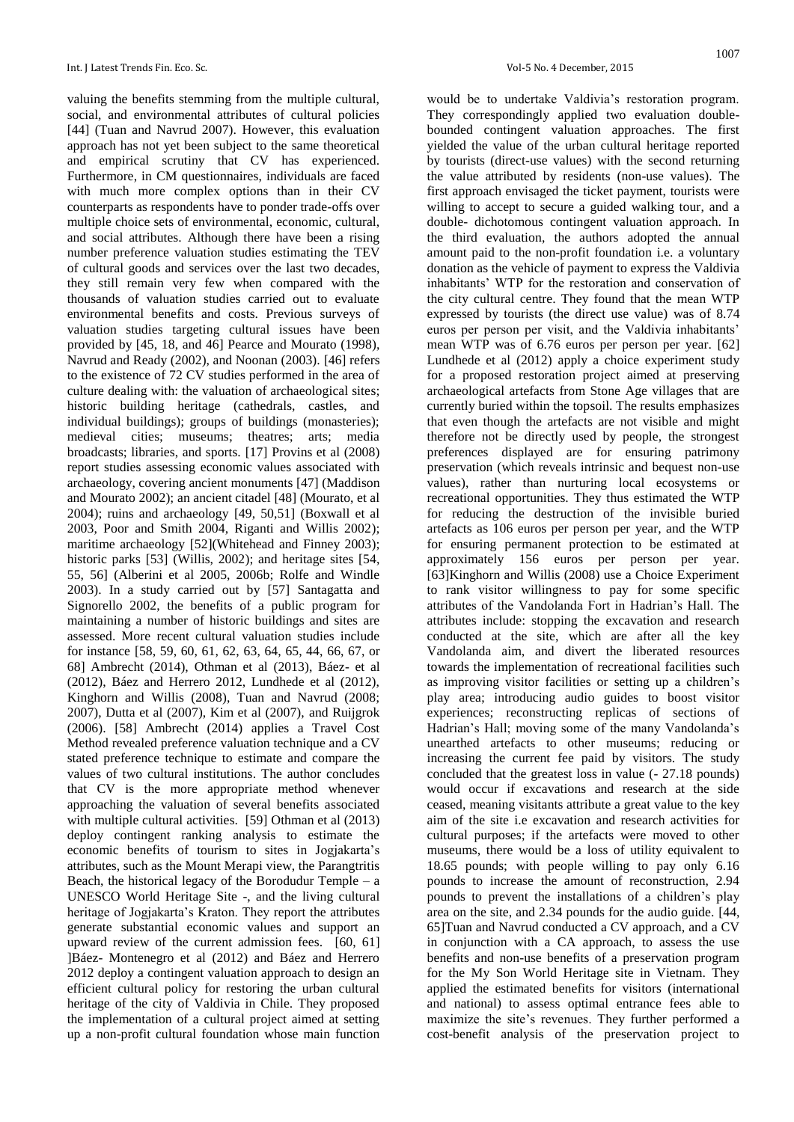valuing the benefits stemming from the multiple cultural, social, and environmental attributes of cultural policies [44] (Tuan and Navrud 2007). However, this evaluation approach has not yet been subject to the same theoretical and empirical scrutiny that CV has experienced. Furthermore, in CM questionnaires, individuals are faced with much more complex options than in their CV counterparts as respondents have to ponder trade-offs over multiple choice sets of environmental, economic, cultural, and social attributes. Although there have been a rising number preference valuation studies estimating the TEV of cultural goods and services over the last two decades, they still remain very few when compared with the thousands of valuation studies carried out to evaluate environmental benefits and costs. Previous surveys of valuation studies targeting cultural issues have been provided by [45, 18, and 46] Pearce and Mourato (1998), Navrud and Ready (2002), and Noonan (2003). [46] refers to the existence of 72 CV studies performed in the area of culture dealing with: the valuation of archaeological sites; historic building heritage (cathedrals, castles, and individual buildings); groups of buildings (monasteries); medieval cities; museums; theatres; arts; media broadcasts; libraries, and sports. [17] Provins et al (2008) report studies assessing economic values associated with archaeology, covering ancient monuments [47] (Maddison and Mourato 2002); an ancient citadel [48] (Mourato, et al 2004); ruins and archaeology [49, 50,51] (Boxwall et al 2003, Poor and Smith 2004, Riganti and Willis 2002); maritime archaeology [52](Whitehead and Finney 2003); historic parks [53] (Willis, 2002); and heritage sites [54, 55, 56] (Alberini et al 2005, 2006b; Rolfe and Windle 2003). In a study carried out by [57] Santagatta and Signorello 2002, the benefits of a public program for maintaining a number of historic buildings and sites are assessed. More recent cultural valuation studies include for instance [58, 59, 60, 61, 62, 63, 64, 65, 44, 66, 67, or 68] Ambrecht (2014), Othman et al (2013), Báez- et al (2012), Báez and Herrero 2012, Lundhede et al (2012), Kinghorn and Willis (2008), Tuan and Navrud (2008; 2007), Dutta et al (2007), Kim et al (2007), and Ruijgrok (2006). [58] Ambrecht (2014) applies a Travel Cost Method revealed preference valuation technique and a CV stated preference technique to estimate and compare the values of two cultural institutions. The author concludes that CV is the more appropriate method whenever approaching the valuation of several benefits associated with multiple cultural activities. [59] Othman et al (2013) deploy contingent ranking analysis to estimate the economic benefits of tourism to sites in Jogjakarta's attributes, such as the Mount Merapi view, the Parangtritis Beach, the historical legacy of the Borodudur Temple –  $a$ UNESCO World Heritage Site -, and the living cultural heritage of Jogjakarta's Kraton. They report the attributes generate substantial economic values and support an upward review of the current admission fees. [60, 61] ]Báez- Montenegro et al (2012) and Báez and Herrero 2012 deploy a contingent valuation approach to design an efficient cultural policy for restoring the urban cultural heritage of the city of Valdivia in Chile. They proposed the implementation of a cultural project aimed at setting up a non-profit cultural foundation whose main function

would be to undertake Valdivia's restoration program. They correspondingly applied two evaluation doublebounded contingent valuation approaches. The first yielded the value of the urban cultural heritage reported by tourists (direct-use values) with the second returning the value attributed by residents (non-use values). The first approach envisaged the ticket payment, tourists were willing to accept to secure a guided walking tour, and a double- dichotomous contingent valuation approach. In the third evaluation, the authors adopted the annual amount paid to the non-profit foundation i.e. a voluntary donation as the vehicle of payment to express the Valdivia inhabitants' WTP for the restoration and conservation of the city cultural centre. They found that the mean WTP expressed by tourists (the direct use value) was of 8.74 euros per person per visit, and the Valdivia inhabitants' mean WTP was of 6.76 euros per person per year. [62] Lundhede et al (2012) apply a choice experiment study for a proposed restoration project aimed at preserving archaeological artefacts from Stone Age villages that are currently buried within the topsoil. The results emphasizes that even though the artefacts are not visible and might therefore not be directly used by people, the strongest preferences displayed are for ensuring patrimony preservation (which reveals intrinsic and bequest non-use values), rather than nurturing local ecosystems or recreational opportunities. They thus estimated the WTP for reducing the destruction of the invisible buried artefacts as 106 euros per person per year, and the WTP for ensuring permanent protection to be estimated at approximately 156 euros per person per year. [63]Kinghorn and Willis (2008) use a Choice Experiment to rank visitor willingness to pay for some specific attributes of the Vandolanda Fort in Hadrian's Hall. The attributes include: stopping the excavation and research conducted at the site, which are after all the key Vandolanda aim, and divert the liberated resources towards the implementation of recreational facilities such as improving visitor facilities or setting up a children's play area; introducing audio guides to boost visitor experiences; reconstructing replicas of sections of Hadrian's Hall; moving some of the many Vandolanda's unearthed artefacts to other museums; reducing or increasing the current fee paid by visitors. The study concluded that the greatest loss in value (- 27.18 pounds) would occur if excavations and research at the side ceased, meaning visitants attribute a great value to the key aim of the site i.e excavation and research activities for cultural purposes; if the artefacts were moved to other museums, there would be a loss of utility equivalent to 18.65 pounds; with people willing to pay only 6.16 pounds to increase the amount of reconstruction, 2.94 pounds to prevent the installations of a children's play area on the site, and 2.34 pounds for the audio guide. [44, 65]Tuan and Navrud conducted a CV approach, and a CV in conjunction with a CA approach, to assess the use benefits and non-use benefits of a preservation program for the My Son World Heritage site in Vietnam. They applied the estimated benefits for visitors (international and national) to assess optimal entrance fees able to maximize the site's revenues. They further performed a cost-benefit analysis of the preservation project to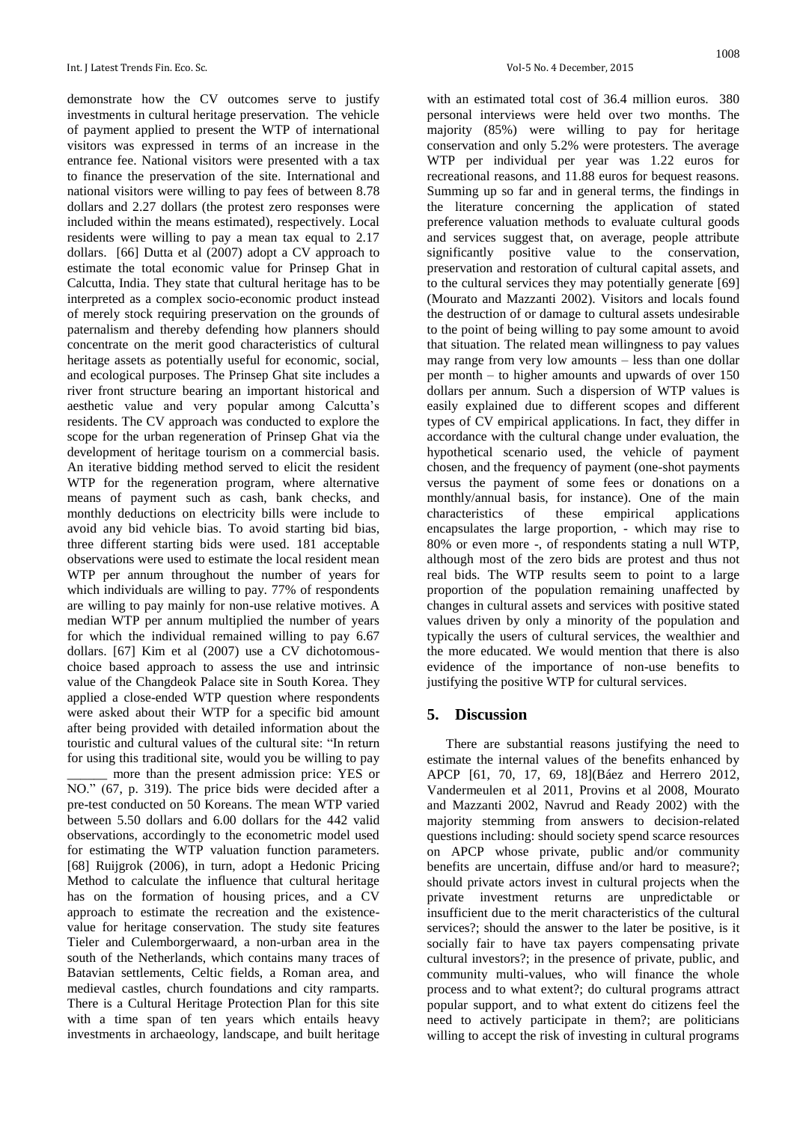demonstrate how the CV outcomes serve to justify investments in cultural heritage preservation. The vehicle of payment applied to present the WTP of international visitors was expressed in terms of an increase in the entrance fee. National visitors were presented with a tax to finance the preservation of the site. International and national visitors were willing to pay fees of between 8.78 dollars and 2.27 dollars (the protest zero responses were included within the means estimated), respectively. Local residents were willing to pay a mean tax equal to 2.17 dollars. [66] Dutta et al (2007) adopt a CV approach to estimate the total economic value for Prinsep Ghat in Calcutta, India. They state that cultural heritage has to be interpreted as a complex socio-economic product instead of merely stock requiring preservation on the grounds of paternalism and thereby defending how planners should concentrate on the merit good characteristics of cultural heritage assets as potentially useful for economic, social, and ecological purposes. The Prinsep Ghat site includes a river front structure bearing an important historical and aesthetic value and very popular among Calcutta's residents. The CV approach was conducted to explore the scope for the urban regeneration of Prinsep Ghat via the development of heritage tourism on a commercial basis. An iterative bidding method served to elicit the resident WTP for the regeneration program, where alternative means of payment such as cash, bank checks, and monthly deductions on electricity bills were include to avoid any bid vehicle bias. To avoid starting bid bias, three different starting bids were used. 181 acceptable observations were used to estimate the local resident mean WTP per annum throughout the number of years for which individuals are willing to pay. 77% of respondents are willing to pay mainly for non-use relative motives. A median WTP per annum multiplied the number of years for which the individual remained willing to pay 6.67 dollars. [67] Kim et al (2007) use a CV dichotomouschoice based approach to assess the use and intrinsic value of the Changdeok Palace site in South Korea. They applied a close-ended WTP question where respondents were asked about their WTP for a specific bid amount after being provided with detailed information about the touristic and cultural values of the cultural site: "In return for using this traditional site, would you be willing to pay more than the present admission price: YES or NO." (67, p. 319). The price bids were decided after a pre-test conducted on 50 Koreans. The mean WTP varied between 5.50 dollars and 6.00 dollars for the 442 valid observations, accordingly to the econometric model used for estimating the WTP valuation function parameters. [68] Ruijgrok (2006), in turn, adopt a Hedonic Pricing Method to calculate the influence that cultural heritage has on the formation of housing prices, and a CV approach to estimate the recreation and the existencevalue for heritage conservation. The study site features Tieler and Culemborgerwaard, a non-urban area in the south of the Netherlands, which contains many traces of Batavian settlements, Celtic fields, a Roman area, and medieval castles, church foundations and city ramparts. There is a Cultural Heritage Protection Plan for this site with a time span of ten years which entails heavy investments in archaeology, landscape, and built heritage

with an estimated total cost of 36.4 million euros. 380 personal interviews were held over two months. The majority (85%) were willing to pay for heritage conservation and only 5.2% were protesters. The average WTP per individual per year was 1.22 euros for recreational reasons, and 11.88 euros for bequest reasons. Summing up so far and in general terms, the findings in the literature concerning the application of stated preference valuation methods to evaluate cultural goods and services suggest that, on average, people attribute significantly positive value to the conservation, preservation and restoration of cultural capital assets, and to the cultural services they may potentially generate [69] (Mourato and Mazzanti 2002). Visitors and locals found the destruction of or damage to cultural assets undesirable to the point of being willing to pay some amount to avoid that situation. The related mean willingness to pay values may range from very low amounts – less than one dollar per month – to higher amounts and upwards of over 150 dollars per annum. Such a dispersion of WTP values is easily explained due to different scopes and different types of CV empirical applications. In fact, they differ in accordance with the cultural change under evaluation, the hypothetical scenario used, the vehicle of payment chosen, and the frequency of payment (one-shot payments versus the payment of some fees or donations on a monthly/annual basis, for instance). One of the main characteristics of these empirical applications encapsulates the large proportion, - which may rise to 80% or even more -, of respondents stating a null WTP, although most of the zero bids are protest and thus not real bids. The WTP results seem to point to a large proportion of the population remaining unaffected by changes in cultural assets and services with positive stated values driven by only a minority of the population and typically the users of cultural services, the wealthier and the more educated. We would mention that there is also evidence of the importance of non-use benefits to justifying the positive WTP for cultural services.

#### **5. Discussion**

There are substantial reasons justifying the need to estimate the internal values of the benefits enhanced by APCP [61, 70, 17, 69, 18](Báez and Herrero 2012, Vandermeulen et al 2011, Provins et al 2008, Mourato and Mazzanti 2002, Navrud and Ready 2002) with the majority stemming from answers to decision-related questions including: should society spend scarce resources on APCP whose private, public and/or community benefits are uncertain, diffuse and/or hard to measure?; should private actors invest in cultural projects when the private investment returns are unpredictable or insufficient due to the merit characteristics of the cultural services?; should the answer to the later be positive, is it socially fair to have tax payers compensating private cultural investors?; in the presence of private, public, and community multi-values, who will finance the whole process and to what extent?; do cultural programs attract popular support, and to what extent do citizens feel the need to actively participate in them?; are politicians willing to accept the risk of investing in cultural programs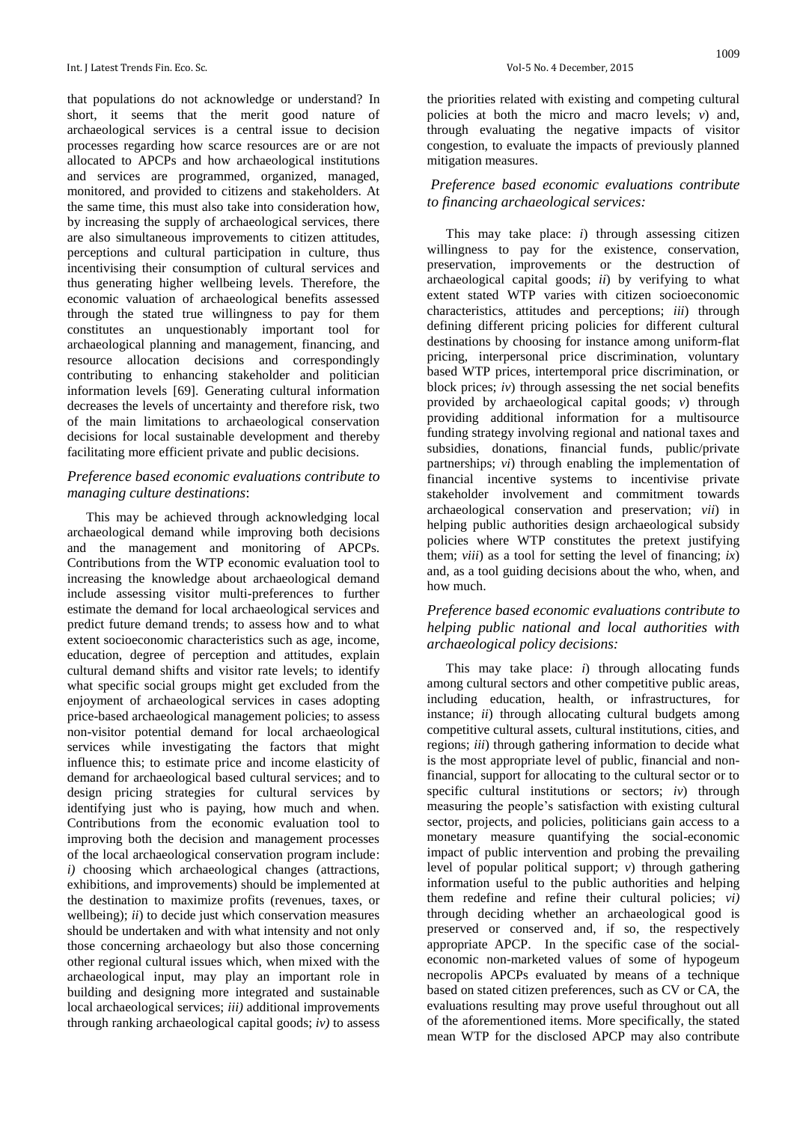that populations do not acknowledge or understand? In short, it seems that the merit good nature of archaeological services is a central issue to decision processes regarding how scarce resources are or are not allocated to APCPs and how archaeological institutions and services are programmed, organized, managed, monitored, and provided to citizens and stakeholders. At the same time, this must also take into consideration how, by increasing the supply of archaeological services, there are also simultaneous improvements to citizen attitudes, perceptions and cultural participation in culture, thus incentivising their consumption of cultural services and thus generating higher wellbeing levels. Therefore, the economic valuation of archaeological benefits assessed through the stated true willingness to pay for them constitutes an unquestionably important tool for archaeological planning and management, financing, and resource allocation decisions and correspondingly contributing to enhancing stakeholder and politician information levels [69]. Generating cultural information decreases the levels of uncertainty and therefore risk, two of the main limitations to archaeological conservation decisions for local sustainable development and thereby facilitating more efficient private and public decisions.

#### *Preference based economic evaluations contribute to managing culture destinations*:

This may be achieved through acknowledging local archaeological demand while improving both decisions and the management and monitoring of APCPs. Contributions from the WTP economic evaluation tool to increasing the knowledge about archaeological demand include assessing visitor multi-preferences to further estimate the demand for local archaeological services and predict future demand trends; to assess how and to what extent socioeconomic characteristics such as age, income, education, degree of perception and attitudes, explain cultural demand shifts and visitor rate levels; to identify what specific social groups might get excluded from the enjoyment of archaeological services in cases adopting price-based archaeological management policies; to assess non-visitor potential demand for local archaeological services while investigating the factors that might influence this; to estimate price and income elasticity of demand for archaeological based cultural services; and to design pricing strategies for cultural services by identifying just who is paying, how much and when. Contributions from the economic evaluation tool to improving both the decision and management processes of the local archaeological conservation program include: *i)* choosing which archaeological changes (attractions, exhibitions, and improvements) should be implemented at the destination to maximize profits (revenues, taxes, or wellbeing); *ii*) to decide just which conservation measures should be undertaken and with what intensity and not only those concerning archaeology but also those concerning other regional cultural issues which, when mixed with the archaeological input, may play an important role in building and designing more integrated and sustainable local archaeological services; *iii)* additional improvements through ranking archaeological capital goods; *iv)* to assess

the priorities related with existing and competing cultural policies at both the micro and macro levels; *v*) and, through evaluating the negative impacts of visitor congestion, to evaluate the impacts of previously planned mitigation measures.

# *Preference based economic evaluations contribute to financing archaeological services:*

This may take place: *i*) through assessing citizen willingness to pay for the existence, conservation, preservation, improvements or the destruction of archaeological capital goods; *ii*) by verifying to what extent stated WTP varies with citizen socioeconomic characteristics, attitudes and perceptions; *iii*) through defining different pricing policies for different cultural destinations by choosing for instance among uniform-flat pricing, interpersonal price discrimination, voluntary based WTP prices, intertemporal price discrimination, or block prices; *iv*) through assessing the net social benefits provided by archaeological capital goods; *v*) through providing additional information for a multisource funding strategy involving regional and national taxes and subsidies, donations, financial funds, public/private partnerships; *vi*) through enabling the implementation of financial incentive systems to incentivise private stakeholder involvement and commitment towards archaeological conservation and preservation; *vii*) in helping public authorities design archaeological subsidy policies where WTP constitutes the pretext justifying them; *viii*) as a tool for setting the level of financing; *ix*) and, as a tool guiding decisions about the who, when, and how much.

## *Preference based economic evaluations contribute to helping public national and local authorities with archaeological policy decisions:*

This may take place: *i*) through allocating funds among cultural sectors and other competitive public areas, including education, health, or infrastructures, for instance; *ii*) through allocating cultural budgets among competitive cultural assets, cultural institutions, cities, and regions; *iii*) through gathering information to decide what is the most appropriate level of public, financial and nonfinancial, support for allocating to the cultural sector or to specific cultural institutions or sectors; *iv*) through measuring the people's satisfaction with existing cultural sector, projects, and policies, politicians gain access to a monetary measure quantifying the social-economic impact of public intervention and probing the prevailing level of popular political support; *v*) through gathering information useful to the public authorities and helping them redefine and refine their cultural policies; *vi)* through deciding whether an archaeological good is preserved or conserved and, if so, the respectively appropriate APCP. In the specific case of the socialeconomic non-marketed values of some of hypogeum necropolis APCPs evaluated by means of a technique based on stated citizen preferences, such as CV or CA, the evaluations resulting may prove useful throughout out all of the aforementioned items. More specifically, the stated mean WTP for the disclosed APCP may also contribute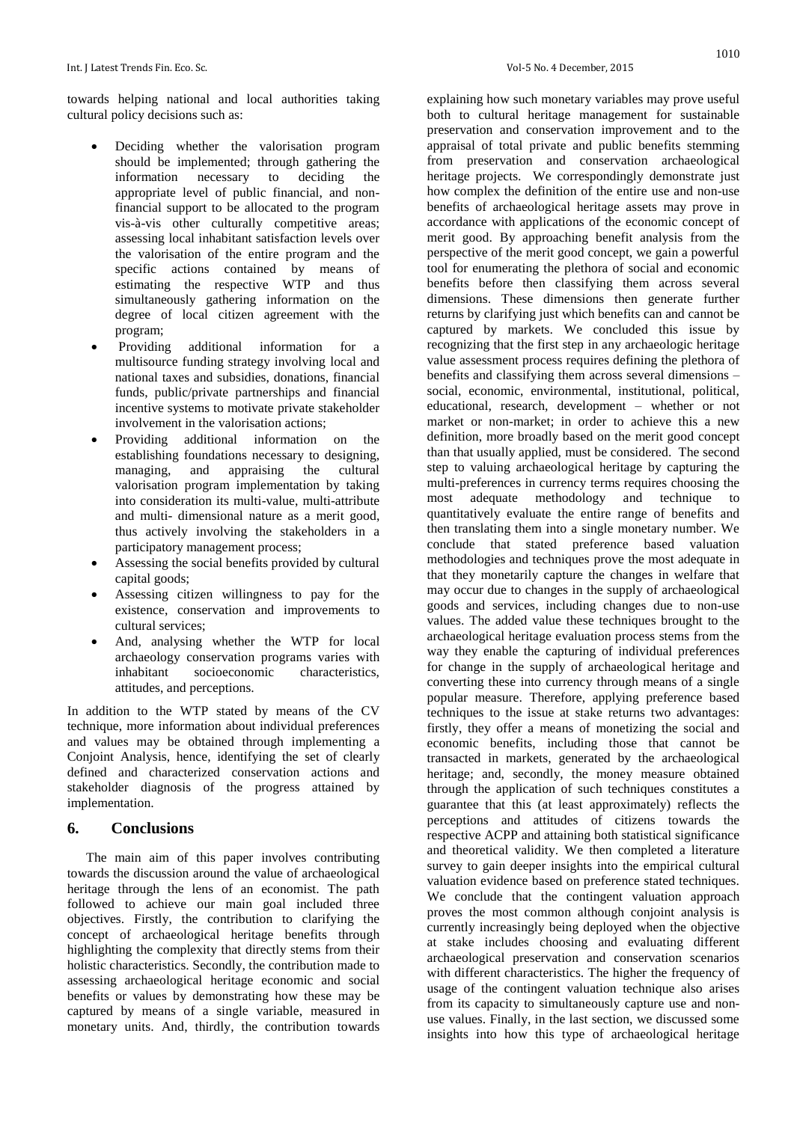towards helping national and local authorities taking cultural policy decisions such as:

- Deciding whether the valorisation program should be implemented; through gathering the information necessary to deciding the appropriate level of public financial, and nonfinancial support to be allocated to the program vis-à-vis other culturally competitive areas; assessing local inhabitant satisfaction levels over the valorisation of the entire program and the specific actions contained by means of estimating the respective WTP and thus simultaneously gathering information on the degree of local citizen agreement with the program;
- Providing additional information for a multisource funding strategy involving local and national taxes and subsidies, donations, financial funds, public/private partnerships and financial incentive systems to motivate private stakeholder involvement in the valorisation actions;
- Providing additional information on the establishing foundations necessary to designing, managing, and appraising the cultural valorisation program implementation by taking into consideration its multi-value, multi-attribute and multi- dimensional nature as a merit good, thus actively involving the stakeholders in a participatory management process;
- Assessing the social benefits provided by cultural capital goods;
- Assessing citizen willingness to pay for the existence, conservation and improvements to cultural services;
- And, analysing whether the WTP for local archaeology conservation programs varies with inhabitant socioeconomic characteristics, attitudes, and perceptions.

In addition to the WTP stated by means of the CV technique, more information about individual preferences and values may be obtained through implementing a Conjoint Analysis, hence, identifying the set of clearly defined and characterized conservation actions and stakeholder diagnosis of the progress attained by implementation.

#### **6. Conclusions**

The main aim of this paper involves contributing towards the discussion around the value of archaeological heritage through the lens of an economist. The path followed to achieve our main goal included three objectives. Firstly, the contribution to clarifying the concept of archaeological heritage benefits through highlighting the complexity that directly stems from their holistic characteristics. Secondly, the contribution made to assessing archaeological heritage economic and social benefits or values by demonstrating how these may be captured by means of a single variable, measured in monetary units. And, thirdly, the contribution towards

explaining how such monetary variables may prove useful

both to cultural heritage management for sustainable preservation and conservation improvement and to the appraisal of total private and public benefits stemming from preservation and conservation archaeological heritage projects. We correspondingly demonstrate just how complex the definition of the entire use and non-use benefits of archaeological heritage assets may prove in accordance with applications of the economic concept of merit good. By approaching benefit analysis from the perspective of the merit good concept, we gain a powerful tool for enumerating the plethora of social and economic benefits before then classifying them across several dimensions. These dimensions then generate further returns by clarifying just which benefits can and cannot be captured by markets. We concluded this issue by recognizing that the first step in any archaeologic heritage value assessment process requires defining the plethora of benefits and classifying them across several dimensions – social, economic, environmental, institutional, political, educational, research, development – whether or not market or non-market; in order to achieve this a new definition, more broadly based on the merit good concept than that usually applied, must be considered. The second step to valuing archaeological heritage by capturing the multi-preferences in currency terms requires choosing the most adequate methodology and technique to quantitatively evaluate the entire range of benefits and then translating them into a single monetary number. We conclude that stated preference based valuation methodologies and techniques prove the most adequate in that they monetarily capture the changes in welfare that may occur due to changes in the supply of archaeological goods and services, including changes due to non-use values. The added value these techniques brought to the archaeological heritage evaluation process stems from the way they enable the capturing of individual preferences for change in the supply of archaeological heritage and converting these into currency through means of a single popular measure. Therefore, applying preference based techniques to the issue at stake returns two advantages: firstly, they offer a means of monetizing the social and economic benefits, including those that cannot be transacted in markets, generated by the archaeological heritage; and, secondly, the money measure obtained through the application of such techniques constitutes a guarantee that this (at least approximately) reflects the perceptions and attitudes of citizens towards the respective ACPP and attaining both statistical significance and theoretical validity. We then completed a literature survey to gain deeper insights into the empirical cultural valuation evidence based on preference stated techniques. We conclude that the contingent valuation approach proves the most common although conjoint analysis is currently increasingly being deployed when the objective at stake includes choosing and evaluating different archaeological preservation and conservation scenarios with different characteristics. The higher the frequency of usage of the contingent valuation technique also arises from its capacity to simultaneously capture use and nonuse values. Finally, in the last section, we discussed some insights into how this type of archaeological heritage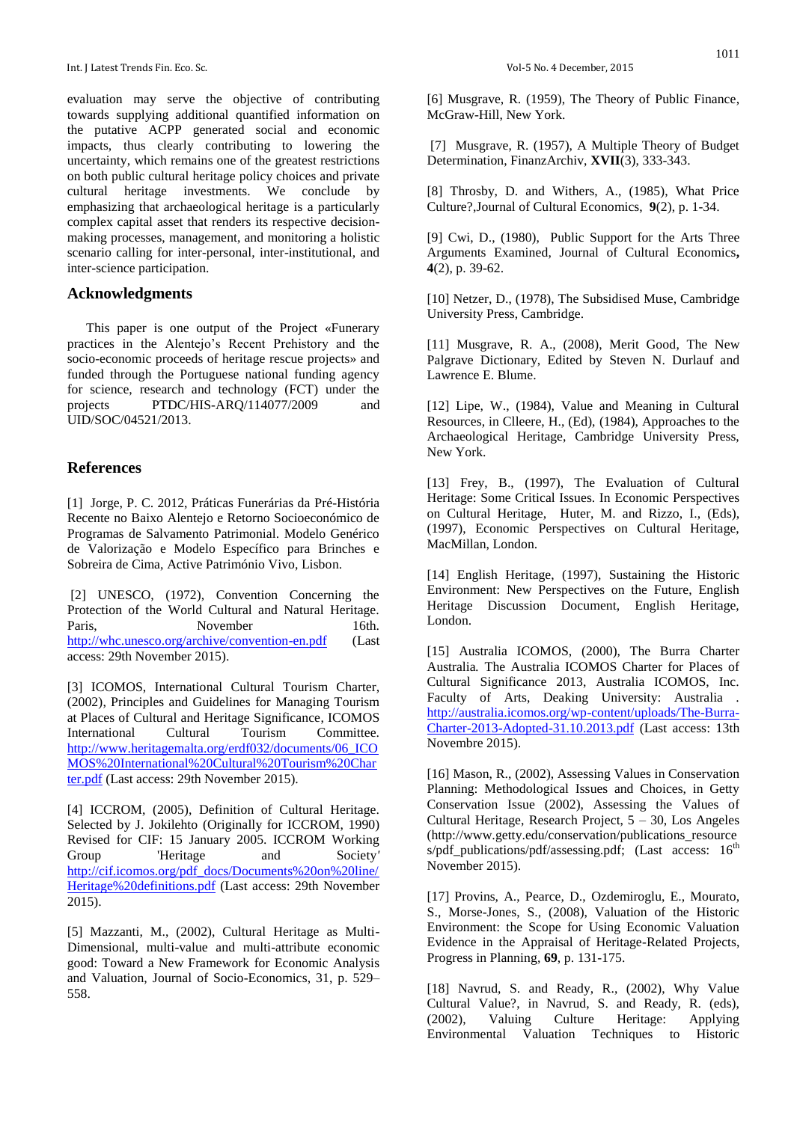evaluation may serve the objective of contributing towards supplying additional quantified information on the putative ACPP generated social and economic impacts, thus clearly contributing to lowering the uncertainty, which remains one of the greatest restrictions on both public cultural heritage policy choices and private cultural heritage investments. We conclude by emphasizing that archaeological heritage is a particularly complex capital asset that renders its respective decisionmaking processes, management, and monitoring a holistic scenario calling for inter-personal, inter-institutional, and inter-science participation.

#### **Acknowledgments**

This paper is one output of the Project «Funerary practices in the Alentejo's Recent Prehistory and the socio-economic proceeds of heritage rescue projects» and funded through the Portuguese national funding agency for science, research and technology (FCT) under the projects PTDC/HIS-ARQ/114077/2009 and UID/SOC/04521/2013.

#### **References**

[1] Jorge, P. C. 2012, Práticas Funerárias da Pré-História Recente no Baixo Alentejo e Retorno Socioeconómico de Programas de Salvamento Patrimonial. Modelo Genérico de Valorização e Modelo Específico para Brinches e Sobreira de Cima, Active Património Vivo, Lisbon.

[2] UNESCO, (1972), Convention Concerning the Protection of the World Cultural and Natural Heritage. Paris, November 16th. <http://whc.unesco.org/archive/convention-en.pdf> (Last access: 29th November 2015).

[3] ICOMOS, International Cultural Tourism Charter, (2002), Principles and Guidelines for Managing Tourism at Places of Cultural and Heritage Significance, ICOMOS International Cultural Tourism Committee. [http://www.heritagemalta.org/erdf032/documents/06\\_ICO](http://www.heritagemalta.org/erdf032/documents/06_ICOMOS%20International%20Cultural%20Tourism%20Charter.pdf) [MOS%20International%20Cultural%20Tourism%20Char](http://www.heritagemalta.org/erdf032/documents/06_ICOMOS%20International%20Cultural%20Tourism%20Charter.pdf) [ter.pdf](http://www.heritagemalta.org/erdf032/documents/06_ICOMOS%20International%20Cultural%20Tourism%20Charter.pdf) (Last access: 29th November 2015).

[4] ICCROM, (2005), Definition of Cultural Heritage. Selected by J. Jokilehto (Originally for ICCROM, 1990) Revised for CIF: 15 January 2005. ICCROM Working Group 'Heritage and Society*'* [http://cif.icomos.org/pdf\\_docs/Documents%20on%20line/](http://cif.icomos.org/pdf_docs/Documents%20on%20line/Heritage%20definitions.pdf) [Heritage%20definitions.pdf](http://cif.icomos.org/pdf_docs/Documents%20on%20line/Heritage%20definitions.pdf) (Last access: 29th November 2015).

[5] Mazzanti, M., (2002), Cultural Heritage as Multi-Dimensional, multi-value and multi-attribute economic good: Toward a New Framework for Economic Analysis and Valuation, Journal of Socio-Economics, 31, p. 529– 558.

[6] Musgrave, R. (1959), The Theory of Public Finance, McGraw-Hill, New York.

[7] Musgrave, R. (1957), A Multiple Theory of Budget Determination, FinanzArchiv, **XVII**(3), 333-343.

[8] Throsby, D. and Withers, A., (1985), What Price Culture?,Journal of Cultural Economics, **9**(2), p. 1-34.

[9] Cwi, D., (1980), Public Support for the Arts Three Arguments Examined, Journal of Cultural Economics**, 4**(2), p. 39-62.

[10] Netzer, D., (1978), The Subsidised Muse, Cambridge University Press, Cambridge.

[11] Musgrave, R. A., (2008), Merit Good, The New Palgrave Dictionary, Edited by Steven N. Durlauf and Lawrence E. Blume.

[12] Lipe, W., (1984), Value and Meaning in Cultural Resources, in Clleere, H., (Ed), (1984), Approaches to the Archaeological Heritage, Cambridge University Press, New York.

[13] Frey, B., (1997), The Evaluation of Cultural Heritage: Some Critical Issues. In Economic Perspectives on Cultural Heritage, Huter, M. and Rizzo, I., (Eds), (1997), Economic Perspectives on Cultural Heritage, MacMillan, London.

[14] English Heritage, (1997), Sustaining the Historic Environment: New Perspectives on the Future, English Heritage Discussion Document, English Heritage, London.

[15] Australia ICOMOS, (2000), The Burra Charter Australia*.* The Australia ICOMOS Charter for Places of Cultural Significance 2013, Australia ICOMOS, Inc. Faculty of Arts, Deaking University: Australia . [http://australia.icomos.org/wp-content/uploads/The-Burra-](http://australia.icomos.org/wp-content/uploads/The-Burra-Charter-2013-Adopted-31.10.2013.pdf)[Charter-2013-Adopted-31.10.2013.pdf](http://australia.icomos.org/wp-content/uploads/The-Burra-Charter-2013-Adopted-31.10.2013.pdf) (Last access: 13th Novembre 2015).

[16] Mason, R., (2002), Assessing Values in Conservation Planning: Methodological Issues and Choices, in Getty Conservation Issue (2002), Assessing the Values of Cultural Heritage, Research Project, 5 – 30, Los Angeles (http://www.getty.edu/conservation/publications\_resource s/pdf\_publications/pdf/assessing.pdf; (Last access: 16<sup>th</sup> November 2015).

[17] Provins, A., Pearce, D., Ozdemiroglu, E., Mourato, S., Morse-Jones, S., (2008), Valuation of the Historic Environment: the Scope for Using Economic Valuation Evidence in the Appraisal of Heritage-Related Projects, Progress in Planning, **69**, p. 131-175.

[18] Navrud, S. and Ready, R., (2002), Why Value Cultural Value?, in Navrud, S. and Ready, R. (eds), (2002), Valuing Culture Heritage: Applying Environmental Valuation Techniques to Historic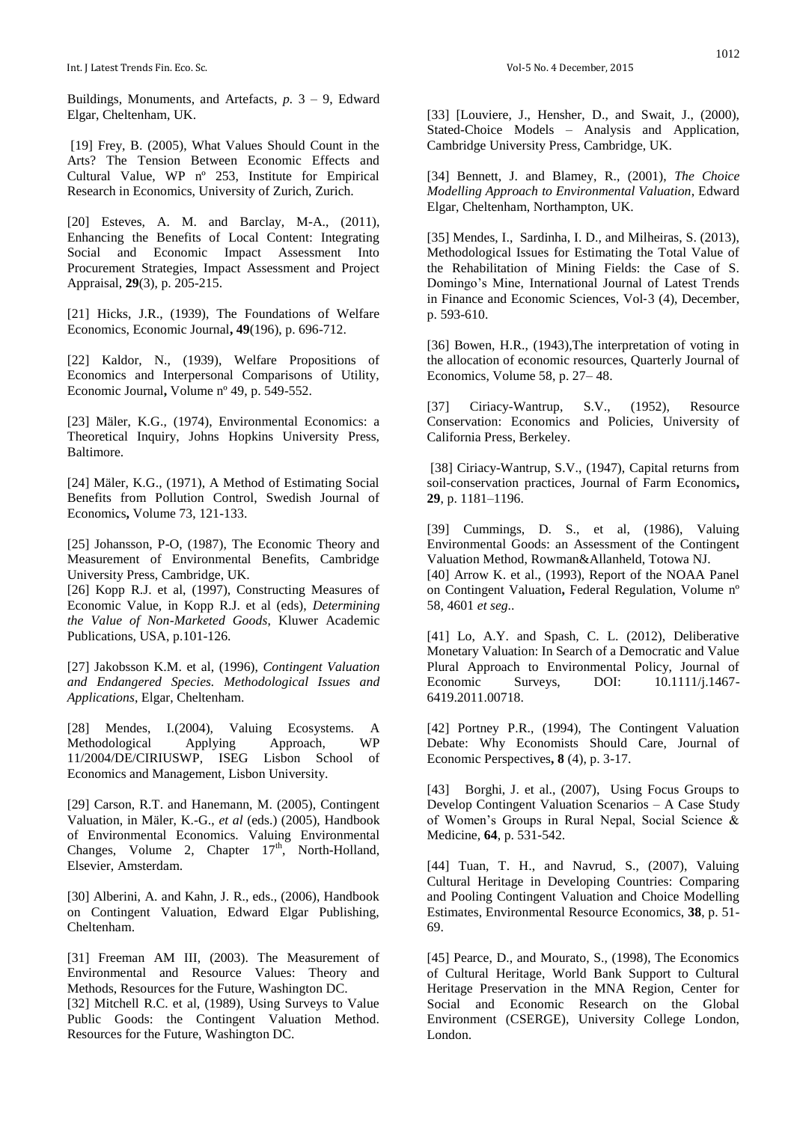Int. J Latest Trends Fin. Eco. Sc. Vol-5 No. 4 December, 2015

Buildings, Monuments, and Artefacts*, p.* 3 – 9, Edward Elgar, Cheltenham, UK.

[19] Frey, B. (2005), What Values Should Count in the Arts? The Tension Between Economic Effects and Cultural Value, WP nº 253, Institute for Empirical Research in Economics, University of Zurich, Zurich.

[20] Esteves, A. M. and Barclay, M-A., (2011), Enhancing the Benefits of Local Content: Integrating Social and Economic Impact Assessment Into Procurement Strategies, Impact Assessment and Project Appraisal, **29**(3), p. 205-215.

[21] Hicks, J.R., (1939), The Foundations of Welfare Economics, Economic Journal**, 49**(196), p. 696-712.

[22] Kaldor, N., (1939), Welfare Propositions of Economics and Interpersonal Comparisons of Utility, Economic Journal**,** Volume nº 49, p. 549-552.

[23] Mäler, K.G., (1974), Environmental Economics: a Theoretical Inquiry, Johns Hopkins University Press, Baltimore.

[24] Mäler, K.G., (1971), A Method of Estimating Social Benefits from Pollution Control, Swedish Journal of Economics**,** Volume 73, 121-133.

[25] Johansson, P-O, (1987), The Economic Theory and Measurement of Environmental Benefits, Cambridge University Press, Cambridge, UK.

[26] Kopp R.J. et al, (1997), Constructing Measures of Economic Value, in Kopp R.J. et al (eds), *Determining the Value of Non-Marketed Goods*, Kluwer Academic Publications, USA, p.101-126.

[27] Jakobsson K.M. et al, (1996), *Contingent Valuation and Endangered Species. Methodological Issues and Applications*, Elgar, Cheltenham.

[28] Mendes, I.(2004), Valuing Ecosystems. A Methodological Applying Approach, WP 11/2004/DE/CIRIUSWP, ISEG Lisbon School of Economics and Management, Lisbon University.

[29] Carson, R.T. and Hanemann, M. (2005), Contingent Valuation, in Mäler, K.-G., *et al* (eds.) (2005), Handbook of Environmental Economics. Valuing Environmental Changes, Volume 2, Chapter  $17<sup>th</sup>$ , North-Holland, Elsevier, Amsterdam.

[30] Alberini, A. and Kahn, J. R., eds., (2006), Handbook on Contingent Valuation, Edward Elgar Publishing, Cheltenham.

[31] Freeman AM III, (2003). The Measurement of Environmental and Resource Values: Theory and Methods, Resources for the Future, Washington DC.

[32] Mitchell R.C. et al, (1989), Using Surveys to Value Public Goods: the Contingent Valuation Method. Resources for the Future, Washington DC.

[33] [Louviere, J., Hensher, D., and Swait, J., (2000), Stated-Choice Models – Analysis and Application, Cambridge University Press, Cambridge, UK.

[34] Bennett, J. and Blamey, R., (2001), *The Choice Modelling Approach to Environmental Valuation*, Edward Elgar, Cheltenham, Northampton, UK.

[35] Mendes, I., Sardinha, I. D., and Milheiras, S. (2013), Methodological Issues for Estimating the Total Value of the Rehabilitation of Mining Fields: the Case of S. Domingo's Mine, International Journal of Latest Trends in Finance and Economic Sciences, Vol‐3 (4), December, p. 593-610.

[36] Bowen, H.R., (1943), The interpretation of voting in the allocation of economic resources, Quarterly Journal of Economics, Volume 58, p. 27– 48.

[37] Ciriacy-Wantrup, S.V., (1952), Resource Conservation: Economics and Policies, University of California Press, Berkeley.

[38] Ciriacy-Wantrup, S.V., (1947), Capital returns from soil-conservation practices, Journal of Farm Economics**, 29**, p. 1181–1196.

[39] Cummings, D. S., et al, (1986), Valuing Environmental Goods: an Assessment of the Contingent Valuation Method, Rowman&Allanheld, Totowa NJ. [40] Arrow K. et al., (1993), Report of the NOAA Panel

on Contingent Valuation**,** Federal Regulation, Volume nº 58, 4601 *et seg*..

[41] Lo, A.Y. and Spash, C. L. (2012), Deliberative Monetary Valuation: In Search of a Democratic and Value Plural Approach to Environmental Policy, Journal of Economic Surveys, DOI:  $10.1111/j.1467$ 6419.2011.00718.

[42] Portney P.R., (1994), The Contingent Valuation Debate: Why Economists Should Care, Journal of Economic Perspectives**, 8** (4), p. 3-17.

[43] Borghi, J. et al., (2007), Using Focus Groups to Develop Contingent Valuation Scenarios – A Case Study of Women's Groups in Rural Nepal, Social Science & Medicine, **64**, p. 531-542.

[44] Tuan, T. H., and Navrud, S., (2007), Valuing Cultural Heritage in Developing Countries: Comparing and Pooling Contingent Valuation and Choice Modelling Estimates, Environmental Resource Economics, **38**, p. 51- 69.

[45] Pearce, D., and Mourato, S., (1998), The Economics of Cultural Heritage, World Bank Support to Cultural Heritage Preservation in the MNA Region, Center for Social and Economic Research on the Global Environment (CSERGE), University College London, London.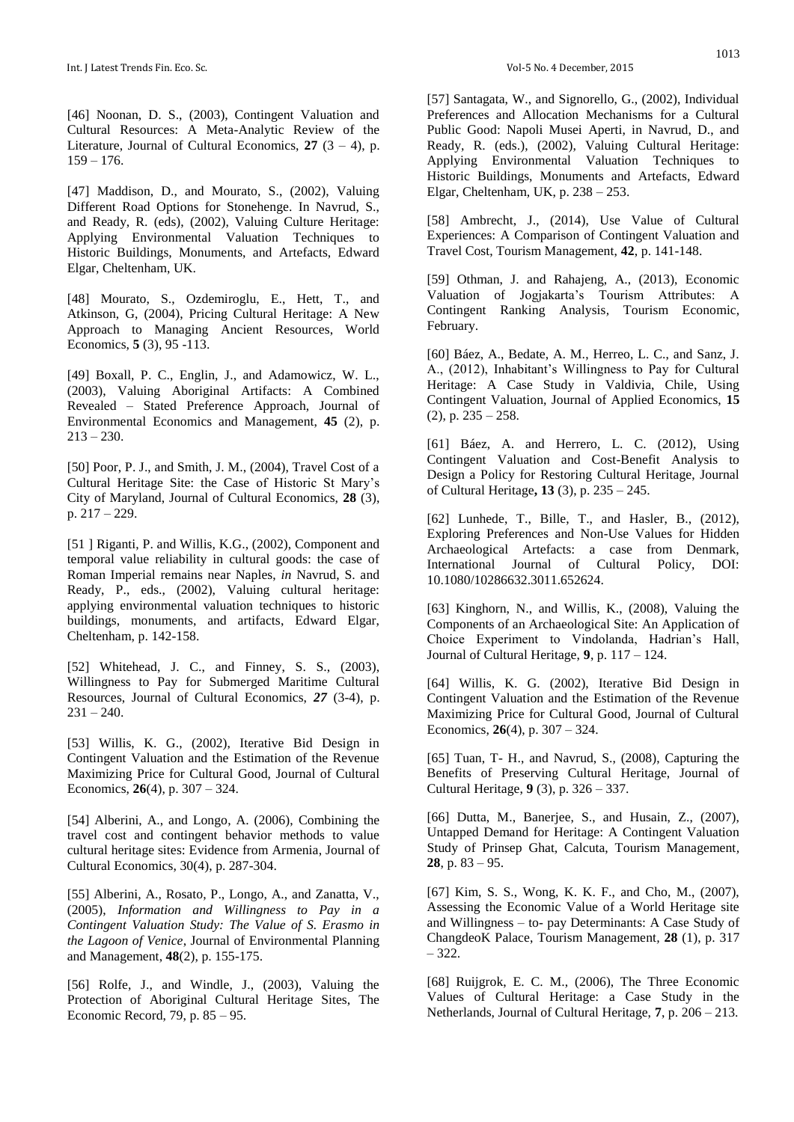[46] Noonan, D. S., (2003), Contingent Valuation and Cultural Resources: A Meta-Analytic Review of the Literature, Journal of Cultural Economics,  $27$  (3 – 4), p.  $159 - 176.$ 

[47] Maddison, D., and Mourato, S., (2002), Valuing Different Road Options for Stonehenge. In Navrud, S., and Ready, R. (eds), (2002), Valuing Culture Heritage: Applying Environmental Valuation Techniques to Historic Buildings, Monuments, and Artefacts, Edward Elgar, Cheltenham, UK.

[48] Mourato, S., Ozdemiroglu, E., Hett, T., and Atkinson, G, (2004), Pricing Cultural Heritage: A New Approach to Managing Ancient Resources, World Economics, **5** (3), 95 -113.

[49] Boxall, P. C., Englin, J., and Adamowicz, W. L., (2003), Valuing Aboriginal Artifacts: A Combined Revealed – Stated Preference Approach, Journal of Environmental Economics and Management, **45** (2), p.  $213 - 230.$ 

[50] Poor, P. J., and Smith, J. M., (2004), Travel Cost of a Cultural Heritage Site: the Case of Historic St Mary's City of Maryland, Journal of Cultural Economics, **28** (3), p. 217 – 229.

[51] Riganti, P. and Willis, K.G., (2002), Component and temporal value reliability in cultural goods: the case of Roman Imperial remains near Naples, *in* Navrud, S. and Ready, P., eds., (2002), Valuing cultural heritage: applying environmental valuation techniques to historic buildings, monuments, and artifacts, Edward Elgar, Cheltenham, p. 142-158.

[52] Whitehead, J. C., and Finney, S. S., (2003), Willingness to Pay for Submerged Maritime Cultural Resources, Journal of Cultural Economics, *27* (3-4), p.  $231 - 240.$ 

[53] Willis, K. G., (2002), Iterative Bid Design in Contingent Valuation and the Estimation of the Revenue Maximizing Price for Cultural Good, Journal of Cultural Economics, **26**(4), p. 307 – 324.

[54] Alberini, A., and Longo, A. (2006), [Combining the](https://ideas.repec.org/a/kap/jculte/v30y2006i4p287-304.html)  [travel cost and contingent behavior methods to value](https://ideas.repec.org/a/kap/jculte/v30y2006i4p287-304.html)  [cultural heritage sites: Evidence from Armenia,](https://ideas.repec.org/a/kap/jculte/v30y2006i4p287-304.html) [Journal of](https://ideas.repec.org/s/kap/jculte.html)  [Cultural Economics,](https://ideas.repec.org/s/kap/jculte.html) 30(4), p. 287-304.

[55] Alberini, A., Rosato, P., Longo, A., and Zanatta, V., (2005), *[Information and Willingness to Pay in a](https://ideas.repec.org/a/taf/jenpmg/v48y2005i2p155-175.html)  [Contingent Valuation Study: The Value of S. Erasmo in](https://ideas.repec.org/a/taf/jenpmg/v48y2005i2p155-175.html)  [the Lagoon of Venice](https://ideas.repec.org/a/taf/jenpmg/v48y2005i2p155-175.html)*, [Journal of Environmental Planning](https://ideas.repec.org/s/taf/jenpmg.html)  [and Management,](https://ideas.repec.org/s/taf/jenpmg.html) **48**(2), p. 155-175.

[56] Rolfe, J., and Windle, J., (2003), Valuing the Protection of Aboriginal Cultural Heritage Sites, The Economic Record, 79, p. 85 – 95.

[57] Santagata, W., and Signorello, G., (2002), Individual Preferences and Allocation Mechanisms for a Cultural Public Good: Napoli Musei Aperti, in Navrud, D., and Ready, R. (eds.), (2002), Valuing Cultural Heritage: Applying Environmental Valuation Techniques to Historic Buildings, Monuments and Artefacts, Edward Elgar, Cheltenham, UK, p. 238 – 253.

[58] Ambrecht, J., (2014), Use Value of Cultural Experiences: A Comparison of Contingent Valuation and Travel Cost, Tourism Management, **42**, p. 141-148.

[59] Othman, J. and Rahajeng, A., (2013), Economic Valuation of Jogjakarta's Tourism Attributes: A Contingent Ranking Analysis*,* Tourism Economic, February.

[60] Báez, A., Bedate, A. M., Herreo, L. C., and Sanz, J. A., (2012), Inhabitant's Willingness to Pay for Cultural Heritage: A Case Study in Valdivia, Chile, Using Contingent Valuation, Journal of Applied Economics, **15**  $(2)$ , p.  $235 - 258$ .

[61] Báez, A. and Herrero, L. C. (2012), Using Contingent Valuation and Cost-Benefit Analysis to Design a Policy for Restoring Cultural Heritage, Journal of Cultural Heritage**, 13** (3), p. 235 – 245.

[62] Lunhede, T., Bille, T., and Hasler, B., (2012), Exploring Preferences and Non-Use Values for Hidden Archaeological Artefacts: a case from Denmark, International Journal of Cultural Policy, DOI: 10.1080/10286632.3011.652624.

[63] Kinghorn, N., and Willis, K., (2008), Valuing the Components of an Archaeological Site: An Application of Choice Experiment to Vindolanda, Hadrian's Hall, Journal of Cultural Heritage, **9**, p. 117 – 124.

[64] Willis, K. G. (2002), Iterative Bid Design in Contingent Valuation and the Estimation of the Revenue Maximizing Price for Cultural Good, Journal of Cultural Economics, **26**(4), p. 307 – 324.

[65] Tuan, T- H., and Navrud, S., (2008), Capturing the Benefits of Preserving Cultural Heritage, Journal of Cultural Heritage, **9** (3), p. 326 – 337.

[66] Dutta, M., Banerjee, S., and Husain, Z., (2007), Untapped Demand for Heritage: A Contingent Valuation Study of Prinsep Ghat, Calcuta, Tourism Management*,* **28**, p. 83 – 95.

[67] Kim, S. S., Wong, K. K. F., and Cho, M., (2007), Assessing the Economic Value of a World Heritage site and Willingness – to- pay Determinants: A Case Study of ChangdeoK Palace, Tourism Management*,* **28** (1), p. 317 – 322.

[68] Ruijgrok, E. C. M., (2006), The Three Economic Values of Cultural Heritage: a Case Study in the Netherlands, Journal of Cultural Heritage, **7**, p. 206 – 213.